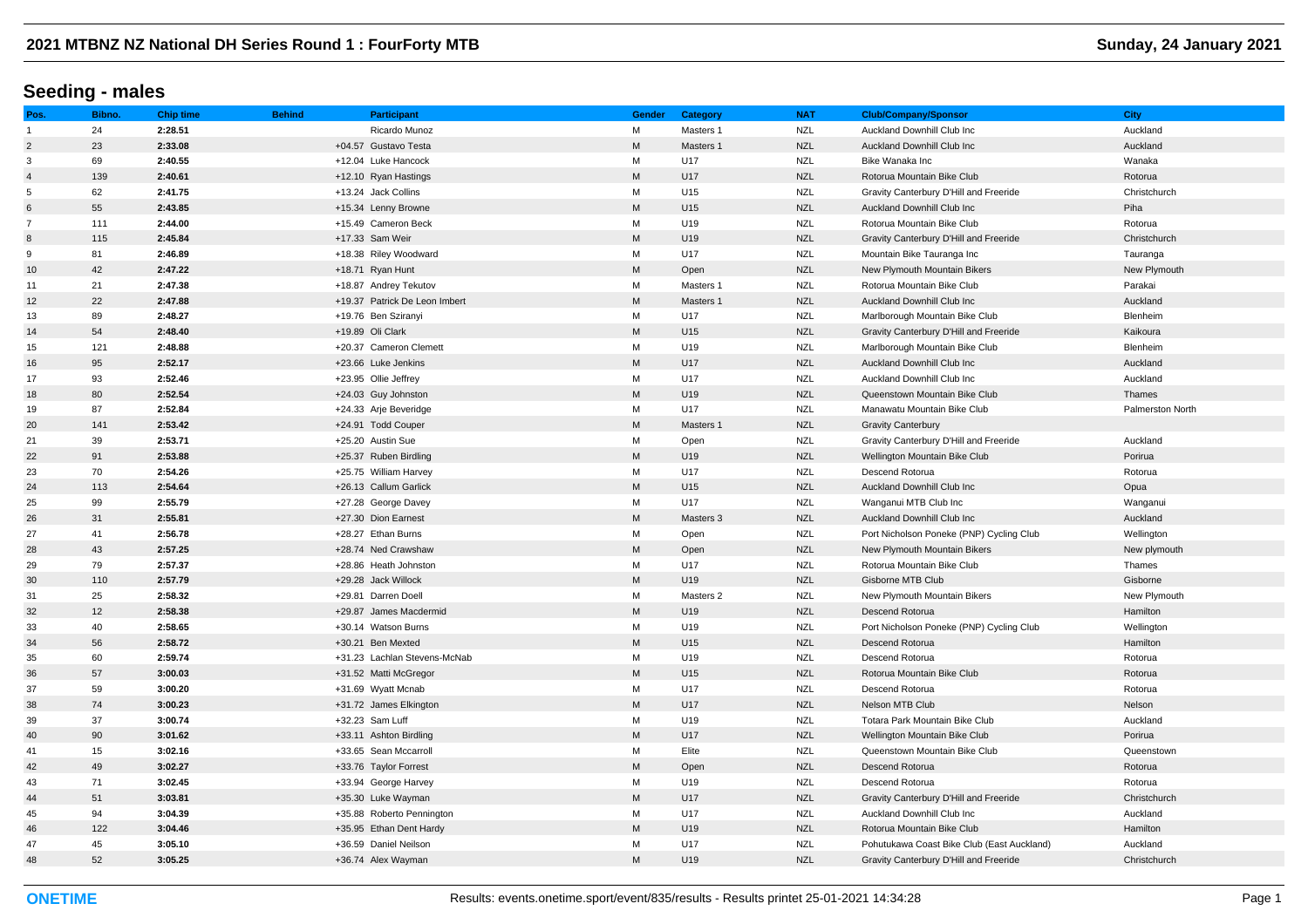# **Seeding - males**

| Pos.           | Bibno. | <b>Chip time</b> | <b>Behind</b> | <b>Participant</b>            | Gender    | Category  | <b>NAT</b> | <b>Club/Company/Sponsor</b>                | <b>City</b>             |
|----------------|--------|------------------|---------------|-------------------------------|-----------|-----------|------------|--------------------------------------------|-------------------------|
| $\mathbf{1}$   | 24     | 2:28.51          |               | Ricardo Munoz                 | M         | Masters 1 | <b>NZL</b> | Auckland Downhill Club Inc                 | Auckland                |
| $\overline{2}$ | 23     | 2:33.08          |               | +04.57 Gustavo Testa          | ${\sf M}$ | Masters 1 | <b>NZL</b> | <b>Auckland Downhill Club Inc.</b>         | Auckland                |
| 3              | 69     | 2:40.55          |               | +12.04 Luke Hancock           | M         | U17       | <b>NZL</b> | Bike Wanaka Inc                            | Wanaka                  |
| $\overline{4}$ | 139    | 2:40.61          |               | +12.10 Ryan Hastings          | ${\sf M}$ | U17       | <b>NZL</b> | Rotorua Mountain Bike Club                 | Rotorua                 |
| 5              | 62     | 2:41.75          |               | +13.24 Jack Collins           | M         | U15       | <b>NZL</b> | Gravity Canterbury D'Hill and Freeride     | Christchurch            |
| 6              | 55     | 2:43.85          |               | +15.34 Lenny Browne           | ${\sf M}$ | U15       | <b>NZL</b> | Auckland Downhill Club Inc                 | Piha                    |
| $\overline{7}$ | 111    | 2:44.00          |               | +15.49 Cameron Beck           | M         | U19       | <b>NZL</b> | Rotorua Mountain Bike Club                 | Rotorua                 |
| 8              | 115    | 2:45.84          |               | +17.33 Sam Weir               | ${\sf M}$ | U19       | <b>NZL</b> | Gravity Canterbury D'Hill and Freeride     | Christchurch            |
| 9              | 81     | 2:46.89          |               | +18.38 Riley Woodward         | M         | U17       | <b>NZL</b> | Mountain Bike Tauranga Inc                 | Tauranga                |
| 10             | 42     | 2:47.22          |               | +18.71 Ryan Hunt              | M         | Open      | <b>NZL</b> | New Plymouth Mountain Bikers               | New Plymouth            |
| 11             | 21     | 2:47.38          |               | +18.87 Andrey Tekutov         | M         | Masters 1 | <b>NZL</b> | Rotorua Mountain Bike Club                 | Parakai                 |
| 12             | 22     | 2:47.88          |               | +19.37 Patrick De Leon Imbert | M         | Masters 1 | <b>NZL</b> | Auckland Downhill Club Inc                 | Auckland                |
| 13             | 89     | 2:48.27          |               | +19.76 Ben Sziranyi           | M         | U17       | <b>NZL</b> | Marlborough Mountain Bike Club             | Blenheim                |
| 14             | 54     | 2:48.40          |               | +19.89 Oli Clark              | ${\sf M}$ | U15       | <b>NZL</b> | Gravity Canterbury D'Hill and Freeride     | Kaikoura                |
| 15             | 121    | 2:48.88          |               | +20.37 Cameron Clemett        | M         | U19       | <b>NZL</b> | Marlborough Mountain Bike Club             | Blenheim                |
| 16             | 95     | 2:52.17          |               | +23.66 Luke Jenkins           | ${\sf M}$ | U17       | <b>NZL</b> | Auckland Downhill Club Inc                 | Auckland                |
| 17             | 93     | 2:52.46          |               | +23.95 Ollie Jeffrey          | M         | U17       | <b>NZL</b> | Auckland Downhill Club Inc                 | Auckland                |
| 18             | 80     | 2:52.54          |               | +24.03 Guy Johnston           | M         | U19       | <b>NZL</b> | Queenstown Mountain Bike Club              | Thames                  |
| 19             | 87     | 2:52.84          |               | +24.33 Arje Beveridge         | M         | U17       | <b>NZL</b> | Manawatu Mountain Bike Club                | <b>Palmerston North</b> |
| 20             | 141    | 2:53.42          |               | +24.91 Todd Couper            | ${\sf M}$ | Masters 1 | <b>NZL</b> | <b>Gravity Canterbury</b>                  |                         |
| 21             | 39     | 2:53.71          |               | +25.20 Austin Sue             | M         | Open      | <b>NZL</b> | Gravity Canterbury D'Hill and Freeride     | Auckland                |
| 22             | 91     | 2:53.88          |               | +25.37 Ruben Birdling         | ${\sf M}$ | U19       | <b>NZL</b> | Wellington Mountain Bike Club              | Porirua                 |
| 23             | 70     | 2:54.26          |               | +25.75 William Harvey         | M         | U17       | <b>NZL</b> | Descend Rotorua                            | Rotorua                 |
| 24             | 113    | 2:54.64          |               | +26.13 Callum Garlick         | ${\sf M}$ | U15       | <b>NZL</b> | Auckland Downhill Club Inc                 | Opua                    |
| 25             | 99     | 2:55.79          |               | +27.28 George Davey           | M         | U17       | <b>NZL</b> | Wanganui MTB Club Inc                      | Wanganui                |
| 26             | 31     | 2:55.81          |               | +27.30 Dion Earnest           | ${\sf M}$ | Masters 3 | <b>NZL</b> | Auckland Downhill Club Inc                 | Auckland                |
| 27             | 41     | 2:56.78          |               | +28.27 Ethan Burns            | M         | Open      | <b>NZL</b> | Port Nicholson Poneke (PNP) Cycling Club   | Wellington              |
| 28             | 43     | 2:57.25          |               | +28.74 Ned Crawshaw           | ${\sf M}$ | Open      | <b>NZL</b> | New Plymouth Mountain Bikers               | New plymouth            |
| 29             | 79     | 2:57.37          |               | +28.86 Heath Johnston         | M         | U17       | <b>NZL</b> | Rotorua Mountain Bike Club                 | Thames                  |
| 30             | 110    | 2:57.79          |               | +29.28 Jack Willock           | ${\sf M}$ | U19       | <b>NZL</b> | Gisborne MTB Club                          | Gisborne                |
| 31             | 25     | 2:58.32          |               | +29.81 Darren Doell           | M         | Masters 2 | <b>NZL</b> | New Plymouth Mountain Bikers               | New Plymouth            |
| 32             | 12     | 2:58.38          |               | +29.87 James Macdermid        | ${\sf M}$ | U19       | <b>NZL</b> | Descend Rotorua                            | Hamilton                |
| 33             | 40     | 2:58.65          |               | +30.14 Watson Burns           | M         | U19       | <b>NZL</b> | Port Nicholson Poneke (PNP) Cycling Club   | Wellington              |
| 34             | 56     | 2:58.72          |               | +30.21 Ben Mexted             | ${\sf M}$ | U15       | <b>NZL</b> | Descend Rotorua                            | Hamilton                |
| 35             | 60     | 2:59.74          |               | +31.23 Lachlan Stevens-McNab  | M         | U19       | <b>NZL</b> | Descend Rotorua                            | Rotorua                 |
| 36             | 57     | 3:00.03          |               | +31.52 Matti McGregor         | ${\sf M}$ | U15       | <b>NZL</b> | Rotorua Mountain Bike Club                 | Rotorua                 |
| 37             | 59     | 3:00.20          |               | +31.69 Wyatt Mcnab            | M         | U17       | <b>NZL</b> | Descend Rotorua                            | Rotorua                 |
| 38             | 74     | 3:00.23          |               | +31.72 James Elkington        | ${\sf M}$ | U17       | <b>NZL</b> | Nelson MTB Club                            | Nelson                  |
| 39             | 37     | 3:00.74          |               | +32.23 Sam Luff               | M         | U19       | <b>NZL</b> | Totara Park Mountain Bike Club             | Auckland                |
| 40             | 90     | 3:01.62          |               | +33.11 Ashton Birdling        | ${\sf M}$ | U17       | <b>NZL</b> | Wellington Mountain Bike Club              | Porirua                 |
| 41             | 15     | 3:02.16          |               | +33.65 Sean Mccarroll         | M         | Elite     | <b>NZL</b> | Queenstown Mountain Bike Club              | Queenstown              |
| 42             | 49     | 3:02.27          |               | +33.76 Taylor Forrest         | ${\sf M}$ | Open      | <b>NZL</b> | Descend Rotorua                            | Rotorua                 |
| 43             | 71     | 3:02.45          |               | +33.94 George Harvey          | M         | U19       | <b>NZL</b> | Descend Rotorua                            | Rotorua                 |
| 44             | 51     | 3:03.81          |               | +35.30 Luke Wayman            | M         | U17       | <b>NZL</b> | Gravity Canterbury D'Hill and Freeride     | Christchurch            |
| 45             | 94     | 3:04.39          |               | +35.88 Roberto Pennington     | M         | U17       | <b>NZL</b> | Auckland Downhill Club Inc                 | Auckland                |
| 46             | 122    | 3:04.46          |               | +35.95 Ethan Dent Hardy       | ${\sf M}$ | U19       | <b>NZL</b> | Rotorua Mountain Bike Club                 | Hamilton                |
| 47             | 45     | 3:05.10          |               | +36.59 Daniel Neilson         | M         | U17       | <b>NZL</b> | Pohutukawa Coast Bike Club (East Auckland) | Auckland                |
| 48             | 52     | 3:05.25          |               | +36.74 Alex Wayman            | M         | U19       | <b>NZL</b> | Gravity Canterbury D'Hill and Freeride     | Christchurch            |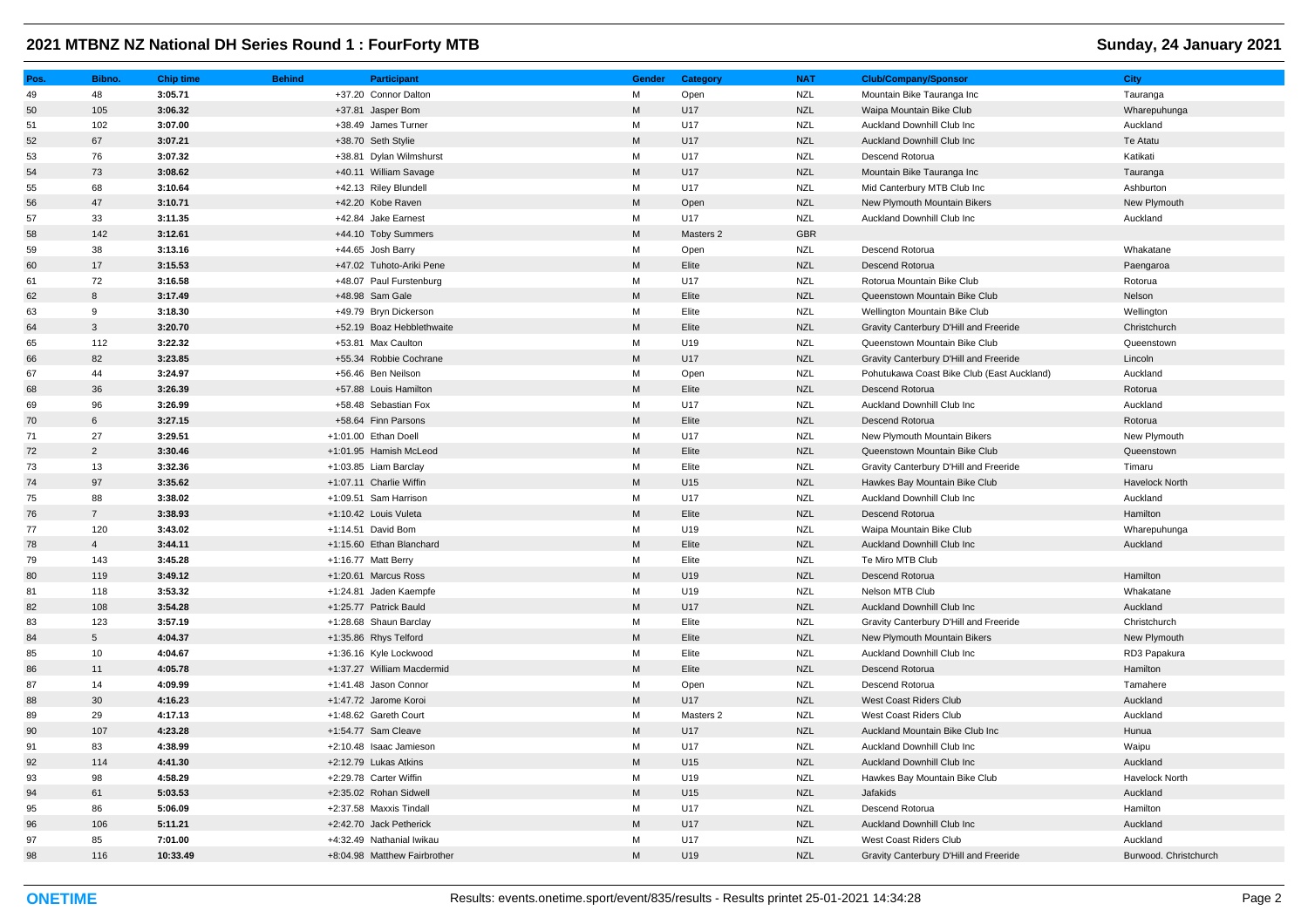| Pos. | Bibno.          | <b>Chip time</b> | <b>Behind</b> | <b>Participant</b>           | Gender                                                                                                     | Category  | <b>NAT</b> | <b>Club/Company/Sponsor</b>                | <b>City</b>           |
|------|-----------------|------------------|---------------|------------------------------|------------------------------------------------------------------------------------------------------------|-----------|------------|--------------------------------------------|-----------------------|
| 49   | 48              | 3:05.71          |               | +37.20 Connor Dalton         | M                                                                                                          | Open      | <b>NZL</b> | Mountain Bike Tauranga Inc                 | Tauranga              |
| 50   | 105             | 3:06.32          |               | +37.81 Jasper Bom            | M                                                                                                          | U17       | <b>NZL</b> | Waipa Mountain Bike Club                   | Wharepuhunga          |
| 51   | 102             | 3:07.00          |               | +38.49 James Turner          | М                                                                                                          | U17       | <b>NZL</b> | Auckland Downhill Club Inc                 | Auckland              |
| 52   | 67              | 3:07.21          |               | +38.70 Seth Stylie           | $\mathsf{M}% _{T}=\mathsf{M}_{T}\!\left( a,b\right) ,\ \mathsf{M}_{T}=\mathsf{M}_{T}\!\left( a,b\right) ,$ | U17       | <b>NZL</b> | Auckland Downhill Club Inc                 | Te Atatu              |
| 53   | 76              | 3:07.32          |               | +38.81 Dylan Wilmshurst      | М                                                                                                          | U17       | <b>NZL</b> | Descend Rotorua                            | Katikati              |
| 54   | 73              | 3:08.62          |               | +40.11 William Savage        | M                                                                                                          | U17       | <b>NZL</b> | Mountain Bike Tauranga Inc                 | Tauranga              |
| 55   | 68              | 3:10.64          |               | +42.13 Riley Blundell        | М                                                                                                          | U17       | <b>NZL</b> | Mid Canterbury MTB Club Inc                | Ashburton             |
| 56   | 47              | 3:10.71          |               | +42.20 Kobe Raven            | M                                                                                                          | Open      | <b>NZL</b> | New Plymouth Mountain Bikers               | New Plymouth          |
| 57   | 33              | 3:11.35          |               | +42.84 Jake Earnest          | М                                                                                                          | U17       | <b>NZL</b> | Auckland Downhill Club Inc                 | Auckland              |
| 58   | 142             | 3:12.61          |               | +44.10 Toby Summers          | ${\sf M}$                                                                                                  | Masters 2 | <b>GBR</b> |                                            |                       |
| 59   | 38              | 3:13.16          |               | +44.65 Josh Barry            | M                                                                                                          | Open      | <b>NZL</b> | Descend Rotorua                            | Whakatane             |
| 60   | 17              | 3:15.53          |               | +47.02 Tuhoto-Ariki Pene     | M                                                                                                          | Elite     | <b>NZL</b> | Descend Rotorua                            | Paengaroa             |
| 61   | 72              | 3:16.58          |               | +48.07 Paul Furstenburg      | M                                                                                                          | U17       | <b>NZL</b> | Rotorua Mountain Bike Club                 | Rotorua               |
| 62   | 8               | 3:17.49          |               | +48.98 Sam Gale              | M                                                                                                          | Elite     | <b>NZL</b> | Queenstown Mountain Bike Club              | Nelson                |
| 63   | 9               | 3:18.30          |               | +49.79 Bryn Dickerson        | M                                                                                                          | Elite     | <b>NZL</b> | Wellington Mountain Bike Club              | Wellington            |
| 64   | $\mathbf{3}$    | 3:20.70          |               | +52.19 Boaz Hebblethwaite    | M                                                                                                          | Elite     | <b>NZL</b> | Gravity Canterbury D'Hill and Freeride     | Christchurch          |
| 65   | 112             | 3:22.32          |               | +53.81 Max Caulton           | M                                                                                                          | U19       | <b>NZL</b> | Queenstown Mountain Bike Club              | Queenstown            |
| 66   | 82              | 3:23.85          |               | +55.34 Robbie Cochrane       | ${\sf M}$                                                                                                  | U17       | <b>NZL</b> | Gravity Canterbury D'Hill and Freeride     | Lincoln               |
| 67   | 44              | 3:24.97          |               | +56.46 Ben Neilson           | М                                                                                                          | Open      | <b>NZL</b> | Pohutukawa Coast Bike Club (East Auckland) | Auckland              |
| 68   | 36              | 3:26.39          |               | +57.88 Louis Hamilton        | M                                                                                                          | Elite     | <b>NZL</b> | Descend Rotorua                            | Rotorua               |
| 69   | 96              | 3:26.99          |               | +58.48 Sebastian Fox         | M                                                                                                          | U17       | <b>NZL</b> | Auckland Downhill Club Inc                 | Auckland              |
| 70   | $6\phantom{.}6$ | 3:27.15          |               | +58.64 Finn Parsons          | M                                                                                                          | Elite     | <b>NZL</b> | Descend Rotorua                            | Rotorua               |
| 71   | 27              | 3:29.51          |               | +1:01.00 Ethan Doell         | M                                                                                                          | U17       | <b>NZL</b> | New Plymouth Mountain Bikers               | New Plymouth          |
| 72   | 2               | 3:30.46          |               | +1:01.95 Hamish McLeod       | M                                                                                                          | Elite     | <b>NZL</b> | Queenstown Mountain Bike Club              | Queenstown            |
| 73   | 13              | 3:32.36          |               | +1:03.85 Liam Barclay        | М                                                                                                          | Elite     | <b>NZL</b> | Gravity Canterbury D'Hill and Freeride     | Timaru                |
| 74   | 97              | 3:35.62          |               | +1:07.11 Charlie Wiffin      | M                                                                                                          | U15       | <b>NZL</b> | Hawkes Bay Mountain Bike Club              | <b>Havelock North</b> |
| 75   | 88              | 3:38.02          |               | +1:09.51 Sam Harrison        | М                                                                                                          | U17       | <b>NZL</b> | Auckland Downhill Club Inc                 | Auckland              |
| 76   | $\overline{7}$  | 3:38.93          |               | +1:10.42 Louis Vuleta        | M                                                                                                          | Elite     | <b>NZL</b> | Descend Rotorua                            | Hamilton              |
| 77   | 120             | 3:43.02          |               | +1:14.51 David Bom           | М                                                                                                          | U19       | <b>NZL</b> | Waipa Mountain Bike Club                   | Wharepuhunga          |
| 78   | $\overline{4}$  | 3:44.11          |               | +1:15.60 Ethan Blanchard     | M                                                                                                          | Elite     | <b>NZL</b> | Auckland Downhill Club Inc                 | Auckland              |
| 79   | 143             | 3:45.28          |               | +1:16.77 Matt Berry          | М                                                                                                          | Elite     | <b>NZL</b> | Te Miro MTB Club                           |                       |
| 80   | 119             | 3:49.12          |               | +1:20.61 Marcus Ross         | M                                                                                                          | U19       | <b>NZL</b> | Descend Rotorua                            | Hamilton              |
| 81   | 118             | 3:53.32          |               | +1:24.81 Jaden Kaempfe       | М                                                                                                          | U19       | <b>NZL</b> | Nelson MTB Club                            | Whakatane             |
| 82   | 108             | 3:54.28          |               | +1:25.77 Patrick Bauld       | M                                                                                                          | U17       | <b>NZL</b> | Auckland Downhill Club Inc                 | Auckland              |
| 83   | 123             | 3:57.19          |               | +1:28.68 Shaun Barclay       | M                                                                                                          | Elite     | <b>NZL</b> | Gravity Canterbury D'Hill and Freeride     | Christchurch          |
| 84   | $5\phantom{.0}$ | 4:04.37          |               | +1:35.86 Rhys Telford        | ${\sf M}$                                                                                                  | Elite     | <b>NZL</b> | New Plymouth Mountain Bikers               | New Plymouth          |
| 85   | 10              | 4:04.67          |               | +1:36.16 Kyle Lockwood       | м                                                                                                          | Elite     | <b>NZL</b> | Auckland Downhill Club Inc                 | RD3 Papakura          |
| 86   | 11              | 4:05.78          |               | +1:37.27 William Macdermid   | M                                                                                                          | Elite     | <b>NZL</b> | Descend Rotorua                            | Hamilton              |
| 87   | 14              | 4:09.99          |               | +1:41.48 Jason Connor        | M                                                                                                          | Open      | <b>NZL</b> | Descend Rotorua                            | Tamahere              |
| 88   | 30              | 4:16.23          |               | +1:47.72 Jarome Koroi        | M                                                                                                          | U17       | <b>NZL</b> | West Coast Riders Club                     | Auckland              |
| 89   | 29              | 4:17.13          |               | +1:48.62 Gareth Court        | М                                                                                                          | Masters 2 | <b>NZL</b> | West Coast Riders Club                     | Auckland              |
| 90   | 107             | 4:23.28          |               | +1:54.77 Sam Cleave          | M                                                                                                          | U17       | <b>NZL</b> | Auckland Mountain Bike Club Inc            | Hunua                 |
| 91   | 83              | 4:38.99          |               | +2:10.48 Isaac Jamieson      | M                                                                                                          | U17       | <b>NZL</b> | Auckland Downhill Club Inc                 | Waipu                 |
| 92   | 114             | 4:41.30          |               | +2:12.79 Lukas Atkins        | M                                                                                                          | U15       | <b>NZL</b> | Auckland Downhill Club Inc                 | Auckland              |
| 93   | 98              | 4:58.29          |               | +2:29.78 Carter Wiffin       | М                                                                                                          | U19       | <b>NZL</b> | Hawkes Bay Mountain Bike Club              | Havelock North        |
| 94   | 61              | 5:03.53          |               | +2:35.02 Rohan Sidwell       | M                                                                                                          | U15       | <b>NZL</b> | Jafakids                                   | Auckland              |
| 95   | 86              | 5:06.09          |               | +2:37.58 Maxxis Tindall      | М                                                                                                          | U17       | <b>NZL</b> | Descend Rotorua                            | Hamilton              |
| 96   | 106             | 5:11.21          |               | +2:42.70 Jack Petherick      | M                                                                                                          | U17       | <b>NZL</b> | <b>Auckland Downhill Club Inc.</b>         | Auckland              |
| 97   | 85              | 7:01.00          |               | +4:32.49 Nathanial Iwikau    | М                                                                                                          | U17       | <b>NZL</b> | West Coast Riders Club                     | Auckland              |
| 98   | 116             | 10:33.49         |               | +8:04.98 Matthew Fairbrother | M                                                                                                          | U19       | <b>NZL</b> | Gravity Canterbury D'Hill and Freeride     | Burwood. Christchurch |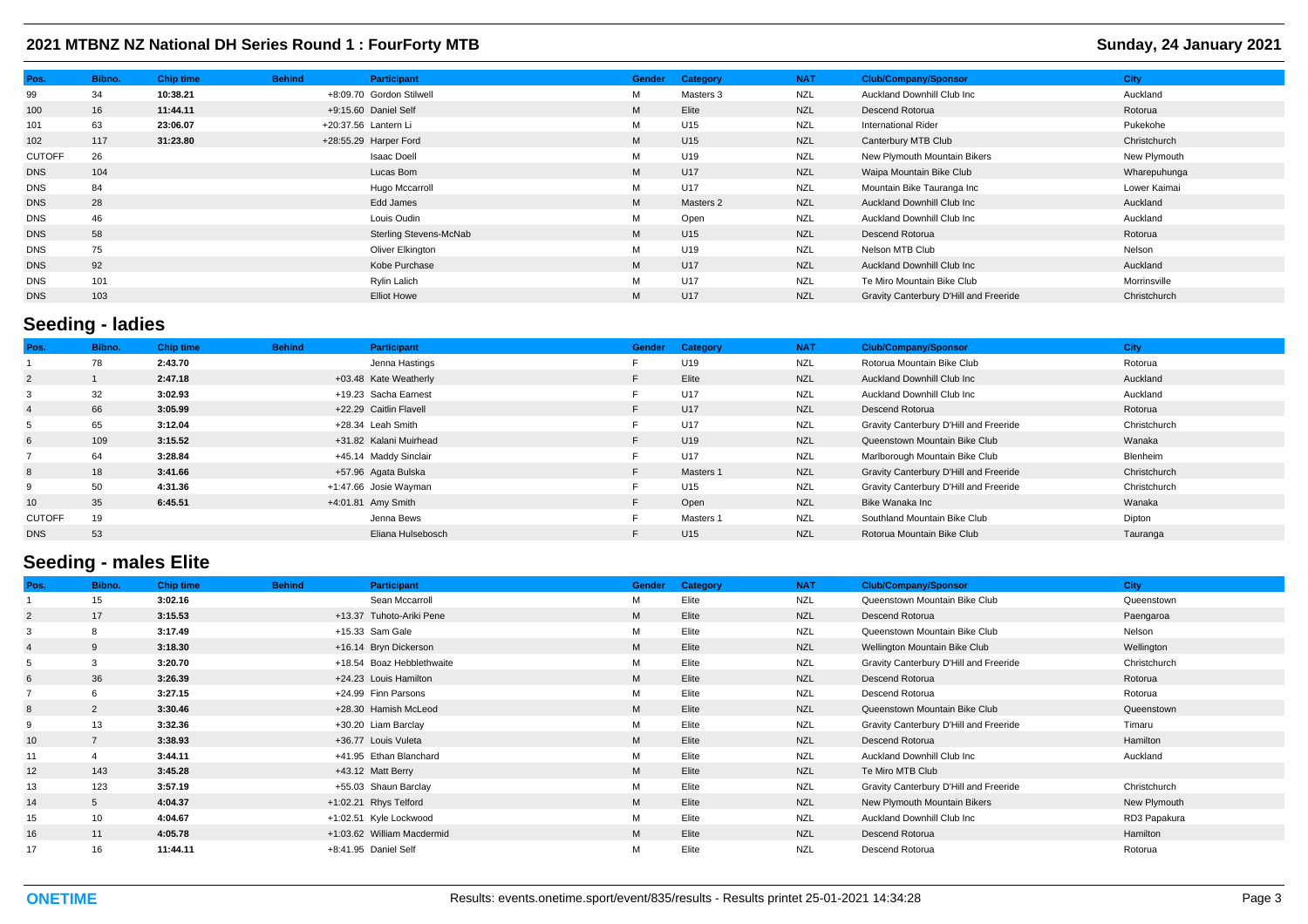| Pos.          | Bibno. | <b>Chip time</b> | <b>Behind</b> | Participant              | <b>Gender</b> | Category        | <b>NAT</b> | <b>Club/Company/Sponsor</b>            | <b>City</b>  |
|---------------|--------|------------------|---------------|--------------------------|---------------|-----------------|------------|----------------------------------------|--------------|
| 99            | 34     | 10:38.21         |               | +8:09.70 Gordon Stilwell | М             | Masters 3       | <b>NZL</b> | Auckland Downhill Club Inc             | Auckland     |
| 100           | 16     | 11:44.11         |               | +9:15.60 Daniel Self     | M             | Elite           | <b>NZL</b> | Descend Rotorua                        | Rotorua      |
| 101           | 63     | 23:06.07         |               | +20:37.56 Lantern Li     | M             | U15             | <b>NZL</b> | <b>International Rider</b>             | Pukekohe     |
| 102           | 117    | 31:23.80         |               | +28:55.29 Harper Ford    | M             | U15             | <b>NZL</b> | Canterbury MTB Club                    | Christchurch |
| <b>CUTOFF</b> | 26     |                  |               | Isaac Doell              | М             | U19             | <b>NZL</b> | New Plymouth Mountain Bikers           | New Plymouth |
| <b>DNS</b>    | 104    |                  |               | Lucas Bom                | M             | U17             | <b>NZL</b> | Waipa Mountain Bike Club               | Wharepuhunga |
| <b>DNS</b>    | 84     |                  |               | Hugo Mccarroll           | М             | U17             | <b>NZL</b> | Mountain Bike Tauranga Inc             | Lower Kaimai |
| <b>DNS</b>    | 28     |                  |               | Edd James                | M             | Masters 2       | <b>NZL</b> | Auckland Downhill Club Inc             | Auckland     |
| <b>DNS</b>    | 46     |                  |               | Louis Oudin              | М             | Open            | <b>NZL</b> | Auckland Downhill Club Inc             | Auckland     |
| <b>DNS</b>    | 58     |                  |               | Sterling Stevens-McNab   | M             | U <sub>15</sub> | <b>NZL</b> | Descend Rotorua                        | Rotorua      |
| <b>DNS</b>    | 75     |                  |               | Oliver Elkington         | M             | U19             | <b>NZL</b> | Nelson MTB Club                        | Nelson       |
| <b>DNS</b>    | 92     |                  |               | Kobe Purchase            | M             | U17             | <b>NZL</b> | <b>Auckland Downhill Club Inc.</b>     | Auckland     |
| <b>DNS</b>    | 101    |                  |               | Rylin Lalich             | M             | U17             | <b>NZL</b> | Te Miro Mountain Bike Club             | Morrinsville |
| <b>DNS</b>    | 103    |                  |               | <b>Elliot Howe</b>       | M             | U17             | <b>NZL</b> | Gravity Canterbury D'Hill and Freeride | Christchurch |

# **Seeding - ladies**

| Pos.           | Bibno. | <b>Chip time</b> | <b>Behind</b> | Participant            | <b>Gender</b> | Category  | <b>NAT</b> | <b>Club/Company/Sponsor</b>            | City         |
|----------------|--------|------------------|---------------|------------------------|---------------|-----------|------------|----------------------------------------|--------------|
|                | 78     | 2:43.70          |               | Jenna Hastings         |               | U19       | <b>NZL</b> | Rotorua Mountain Bike Club             | Rotorua      |
| $\overline{2}$ |        | 2:47.18          |               | +03.48 Kate Weatherly  |               | Elite     | <b>NZL</b> | Auckland Downhill Club Inc             | Auckland     |
| 3              | 32     | 3:02.93          |               | +19.23 Sacha Earnest   |               | U17       | <b>NZL</b> | Auckland Downhill Club Inc             | Auckland     |
| $\overline{4}$ | 66     | 3:05.99          |               | +22.29 Caitlin Flavell | E.            | U17       | <b>NZL</b> | Descend Rotorua                        | Rotorua      |
| 5              | 65     | 3:12.04          |               | +28.34 Leah Smith      |               | U17       | <b>NZL</b> | Gravity Canterbury D'Hill and Freeride | Christchurch |
| 6              | 109    | 3:15.52          |               | +31.82 Kalani Muirhead |               | U19       | <b>NZL</b> | Queenstown Mountain Bike Club          | Wanaka       |
|                | 64     | 3:28.84          |               | +45.14 Maddy Sinclair  |               | U17       | <b>NZL</b> | Marlborough Mountain Bike Club         | Blenheim     |
| 8              | 18     | 3:41.66          |               | +57.96 Agata Bulska    | F             | Masters 1 | <b>NZL</b> | Gravity Canterbury D'Hill and Freeride | Christchurch |
| 9              | 50     | 4:31.36          |               | +1:47.66 Josie Wayman  |               | U15       | <b>NZL</b> | Gravity Canterbury D'Hill and Freeride | Christchurch |
| 10             | 35     | 6:45.51          |               | +4:01.81 Amy Smith     |               | Open      | <b>NZL</b> | Bike Wanaka Inc                        | Wanaka       |
| <b>CUTOFF</b>  | 19     |                  |               | Jenna Bews             |               | Masters 1 | <b>NZL</b> | Southland Mountain Bike Club           | Dipton       |
| <b>DNS</b>     | 53     |                  |               | Eliana Hulsebosch      |               | U15       | <b>NZL</b> | Rotorua Mountain Bike Club             | Tauranga     |

## **Seeding - males Elite**

| Pos.           | Bibno.         | <b>Chip time</b> | <b>Behind</b> | Participant                | <b>Gender</b> | Category | <b>NAT</b> | <b>Club/Company/Sponsor</b>            | <b>City</b>  |
|----------------|----------------|------------------|---------------|----------------------------|---------------|----------|------------|----------------------------------------|--------------|
|                | 15             | 3:02.16          |               | Sean Mccarroll             | M             | Elite    | <b>NZL</b> | Queenstown Mountain Bike Club          | Queenstown   |
| $\overline{2}$ | 17             | 3:15.53          |               | +13.37 Tuhoto-Ariki Pene   | M             | Elite    | <b>NZL</b> | Descend Rotorua                        | Paengaroa    |
|                |                | 3:17.49          |               | +15.33 Sam Gale            | M             | Elite    | <b>NZL</b> | Queenstown Mountain Bike Club          | Nelson       |
|                | 9              | 3:18.30          |               | +16.14 Bryn Dickerson      | M             | Elite    | <b>NZL</b> | Wellington Mountain Bike Club          | Wellington   |
|                |                | 3:20.70          |               | +18.54 Boaz Hebblethwaite  | М             | Elite    | <b>NZL</b> | Gravity Canterbury D'Hill and Freeride | Christchurch |
| 6              | 36             | 3:26.39          |               | +24.23 Louis Hamilton      | M             | Elite    | <b>NZL</b> | Descend Rotorua                        | Rotorua      |
|                |                | 3:27.15          |               | +24.99 Finn Parsons        | м             | Elite    | <b>NZL</b> | Descend Rotorua                        | Rotorua      |
| 8              | $\overline{2}$ | 3:30.46          |               | +28.30 Hamish McLeod       | M             | Elite    | <b>NZL</b> | Queenstown Mountain Bike Club          | Queenstown   |
|                | 13             | 3:32.36          |               | +30.20 Liam Barclay        | M             | Elite    | <b>NZL</b> | Gravity Canterbury D'Hill and Freeride | Timaru       |
| 10             |                | 3:38.93          |               | +36.77 Louis Vuleta        | M             | Elite    | <b>NZL</b> | Descend Rotorua                        | Hamilton     |
| 11             |                | 3:44.11          |               | +41.95 Ethan Blanchard     | м             | Elite    | <b>NZL</b> | Auckland Downhill Club Inc             | Auckland     |
| 12             | 143            | 3:45.28          |               | +43.12 Matt Berry          | M             | Elite    | <b>NZL</b> | Te Miro MTB Club                       |              |
| 13             | 123            | 3:57.19          |               | +55.03 Shaun Barclay       | М             | Elite    | <b>NZL</b> | Gravity Canterbury D'Hill and Freeride | Christchurch |
| 14             | 5              | 4:04.37          |               | +1:02.21 Rhys Telford      | M             | Elite    | <b>NZL</b> | New Plymouth Mountain Bikers           | New Plymouth |
| 15             | 10             | 4:04.67          |               | +1:02.51 Kyle Lockwood     | М             | Elite    | <b>NZL</b> | Auckland Downhill Club Inc             | RD3 Papakura |
| 16             | 11             | 4:05.78          |               | +1:03.62 William Macdermid | M             | Elite    | <b>NZL</b> | Descend Rotorua                        | Hamilton     |
| 17             | 16             | 11:44.11         |               | +8:41.95 Daniel Self       | M             | Elite    | <b>NZL</b> | Descend Rotorua                        | Rotorua      |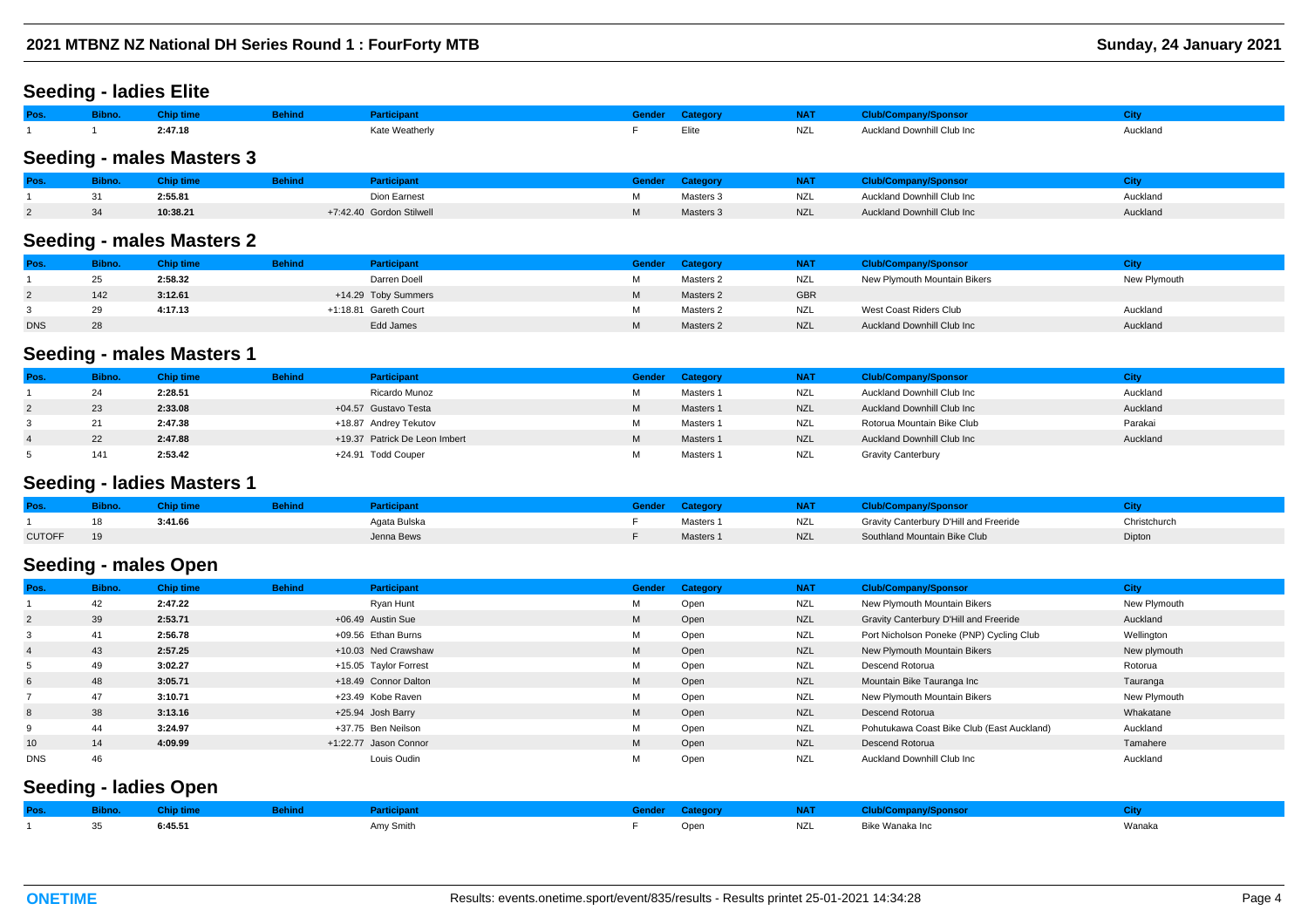#### **Seeding - ladies Elite**

| Pos. | Bibno. Chip time |         | <b>Behind</b> | Participant    | Gender Category |     | NAT Club/Company/Sponsor   |          |
|------|------------------|---------|---------------|----------------|-----------------|-----|----------------------------|----------|
|      |                  | 2:47.18 |               | Kate Weatherly | Elite           | NZL | Auckland Downhill Club Inc | Auckland |
|      |                  |         |               |                |                 |     |                            |          |

## **Seeding - males Masters 3**

| Pos | ibno. | <b>Chip time</b> | sehind i | articipant               | Gender | Category  |            | <b>Club/Company/Sponsor</b> |          |
|-----|-------|------------------|----------|--------------------------|--------|-----------|------------|-----------------------------|----------|
|     |       | 2:55.81          |          | Dion Earnest             |        | Masters 3 | NZL        | Auckland Downhill Club Inc  | Auckland |
|     | 34    | 10:38.21         |          | +7:42.40 Gordon Stilwell |        | Masters 3 | <b>NZL</b> | Auckland Downhill Club Inc  | Auckland |

#### **Seeding - males Masters 2**

| Pos.       | <b>Bibno.</b> | Chip time | <b>Behind</b> | <b>Participant</b>    | Gender | Category  | <b>NAT</b> | <b>Club/Company/Sponsor</b>  |              |
|------------|---------------|-----------|---------------|-----------------------|--------|-----------|------------|------------------------------|--------------|
|            | 25            | 2:58.32   |               | Darren Doell          | м      | Masters 2 | <b>NZL</b> | New Plymouth Mountain Bikers | New Plymouth |
| $\epsilon$ | 142           | 3:12.61   |               | +14.29 Toby Summers   | M      | Masters 2 | <b>GBR</b> |                              |              |
|            | 29            | 4:17.13   |               | +1:18.81 Gareth Court | м      | Masters 2 | <b>NZL</b> | West Coast Riders Club       | Auckland     |
| <b>DNS</b> | 28            |           |               | Edd James             | M      | Masters 2 | <b>NZL</b> | Auckland Downhill Club Inc   | Auckland     |

### **Seeding - males Masters 1**

| Pos. | <b>Bibno.</b> | <b>Chip time</b> | <b>Behind</b> | <b>Participant</b>            |   | Gender Category | <b>NAT</b> | <b>Club/Company/Sponsor</b> | City     |
|------|---------------|------------------|---------------|-------------------------------|---|-----------------|------------|-----------------------------|----------|
|      | 24            | 2:28.51          |               | Ricardo Munoz                 | М | Masters 1       | NZL        | Auckland Downhill Club Inc  | Auckland |
|      | 23            | 2:33.08          |               | +04.57 Gustavo Testa          | M | Masters 1       | <b>NZL</b> | Auckland Downhill Club Inc  | Auckland |
|      | 21            | 2:47.38          |               | +18.87 Andrey Tekutov         | М | Masters 1       | NZL        | Rotorua Mountain Bike Club  | Parakai  |
|      | 22            | 2:47.88          |               | +19.37 Patrick De Leon Imbert | M | Masters 1       | <b>NZL</b> | Auckland Downhill Club Inc  | Auckland |
|      | 141           | 2:53.42          |               | +24.91 Todd Couper            | М | Masters 1       | NZL        | <b>Gravity Canterbury</b>   |          |

#### **Seeding - ladies Masters 1**

| Pos.          | <u>upno.</u> |         |              | iendel | ateuol    | NAT        | ub/Company/Sponsor                     |              |
|---------------|--------------|---------|--------------|--------|-----------|------------|----------------------------------------|--------------|
|               | 18           | 3:41.66 | Agata Bulska |        | Masters 1 | <b>NZL</b> | Gravity Canterbury D'Hill and Freeride | Christchurch |
| <b>CUTOFF</b> |              |         | Jenna Bews   |        | Masters 1 | <b>NZL</b> | Southland Mountain Bike Club           | Dipton       |

## **Seeding - males Open**

| Pos.           | Bibno. | <b>Chip time</b> | <b>Behind</b> | Participant           | <b>Gender</b> | Category | <b>NAT</b> | <b>Club/Company/Sponsor</b>                | <b>City</b>  |
|----------------|--------|------------------|---------------|-----------------------|---------------|----------|------------|--------------------------------------------|--------------|
|                | 42     | 2:47.22          |               | Ryan Hunt             | м             | Open     | <b>NZL</b> | New Plymouth Mountain Bikers               | New Plymouth |
| $\overline{2}$ | 39     | 2:53.71          |               | +06.49 Austin Sue     | M             | Open     | <b>NZL</b> | Gravity Canterbury D'Hill and Freeride     | Auckland     |
| 3              | 41     | 2:56.78          |               | +09.56 Ethan Burns    | M             | Open     | <b>NZL</b> | Port Nicholson Poneke (PNP) Cycling Club   | Wellington   |
| $\overline{4}$ | 43     | 2:57.25          |               | +10.03 Ned Crawshaw   | M             | Open     | <b>NZL</b> | New Plymouth Mountain Bikers               | New plymouth |
| 5              | 49     | 3:02.27          |               | +15.05 Taylor Forrest | м             | Open     | NZL        | Descend Rotorua                            | Rotorua      |
| 6              | 48     | 3:05.71          |               | +18.49 Connor Dalton  | M             | Open     | <b>NZL</b> | Mountain Bike Tauranga Inc                 | Tauranga     |
|                | 47     | 3:10.71          |               | +23.49 Kobe Raven     | М             | Open     | NZL        | New Plymouth Mountain Bikers               | New Plymouth |
| 8              | 38     | 3:13.16          |               | +25.94 Josh Barry     | M             | Open     | <b>NZL</b> | Descend Rotorua                            | Whakatane    |
| 9              | 44     | 3:24.97          |               | +37.75 Ben Neilson    | M             | Open     | NZL        | Pohutukawa Coast Bike Club (East Auckland) | Auckland     |
| 10             | 14     | 4:09.99          |               | +1:22.77 Jason Connor | M             | Open     | <b>NZL</b> | Descend Rotorua                            | Tamahere     |
| <b>DNS</b>     | 46     |                  |               | Louis Oudin           | м             | Open     | <b>NZL</b> | Auckland Downhill Club Inc                 | Auckland     |
|                |        |                  |               |                       |               |          |            |                                            |              |

## **Seeding - ladies Open**

| Pos. The contract of the |    | <b>September 1999</b> Behind<br><b>Bibno.</b> Chip time | Participant |      | <b>STATE AND STATE AND STATE AND STATE AND STATE AND STATE AND STATE AND STATE AND STATE AND STATE AND STATE AND ST</b> | Club/Company/Sponsor |        |
|--------------------------|----|---------------------------------------------------------|-------------|------|-------------------------------------------------------------------------------------------------------------------------|----------------------|--------|
|                          | 35 | 6:45.51                                                 | Amy Smith   | Open | NZL                                                                                                                     | Bike Wanaka Inc.     | Wanaka |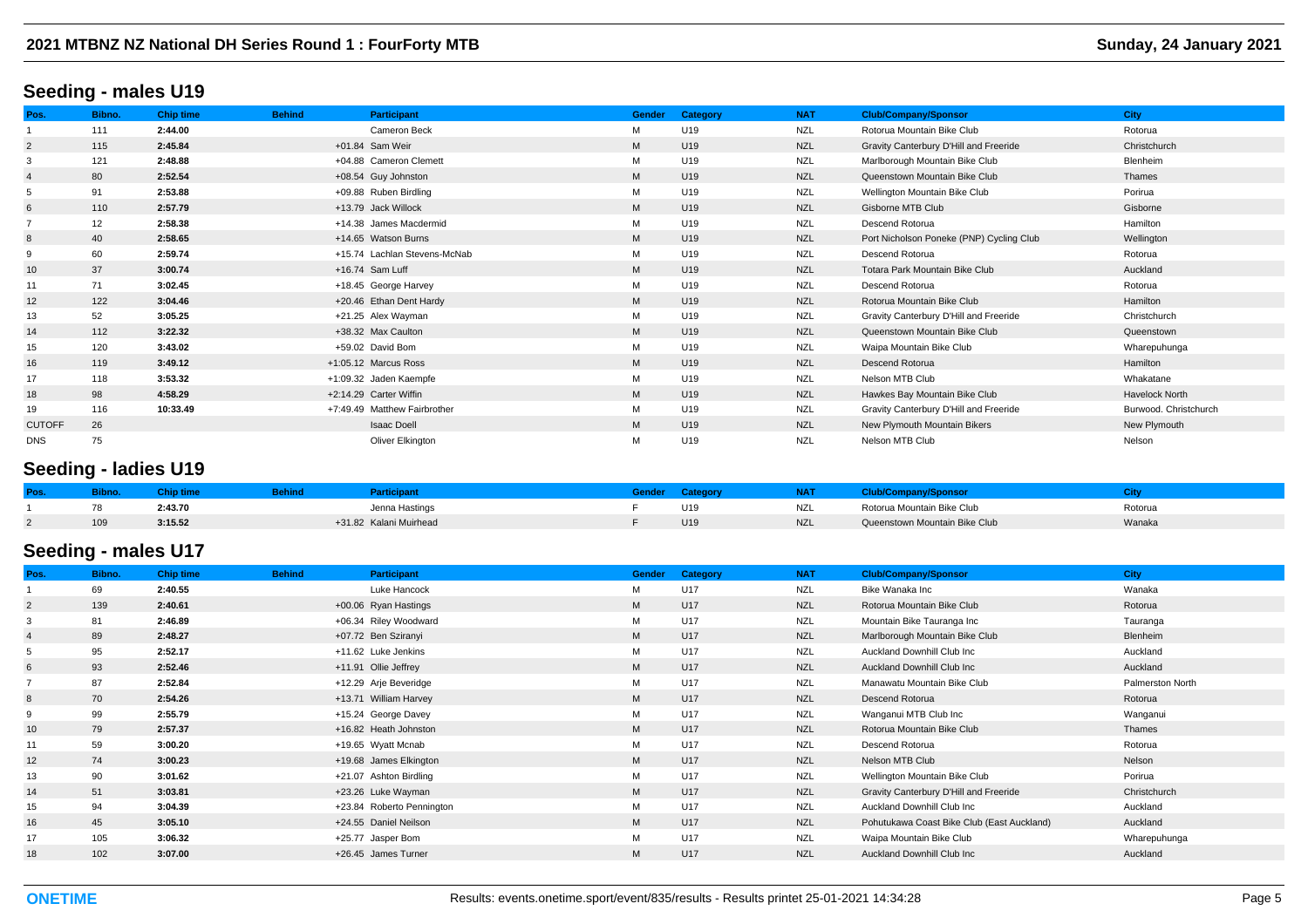#### **Seeding - males U19**

| Pos.           | Bibno. | <b>Chip time</b> | <b>Behind</b> | <b>Participant</b>           | Gender | Category        | <b>NAT</b> | <b>Club/Company/Sponsor</b>              | <b>City</b>           |
|----------------|--------|------------------|---------------|------------------------------|--------|-----------------|------------|------------------------------------------|-----------------------|
|                | 111    | 2:44.00          |               | <b>Cameron Beck</b>          | м      | U19             | <b>NZL</b> | Rotorua Mountain Bike Club               | Rotorua               |
| $\overline{2}$ | 115    | 2:45.84          |               | +01.84 Sam Weir              | M      | U19             | <b>NZL</b> | Gravity Canterbury D'Hill and Freeride   | Christchurch          |
| 3              | 121    | 2:48.88          |               | +04.88 Cameron Clemett       | M      | U19             | <b>NZL</b> | Marlborough Mountain Bike Club           | Blenheim              |
| $\overline{4}$ | 80     | 2:52.54          |               | +08.54 Guy Johnston          | M      | U19             | <b>NZL</b> | Queenstown Mountain Bike Club            | Thames                |
| 5              | 91     | 2:53.88          |               | +09.88 Ruben Birdling        | М      | U19             | <b>NZL</b> | Wellington Mountain Bike Club            | Porirua               |
| 6              | 110    | 2:57.79          |               | +13.79 Jack Willock          | M      | U <sub>19</sub> | <b>NZL</b> | Gisborne MTB Club                        | Gisborne              |
|                | 12     | 2:58.38          |               | +14.38 James Macdermid       | М      | U19             | <b>NZL</b> | Descend Rotorua                          | Hamilton              |
| 8              | 40     | 2:58.65          |               | +14.65 Watson Burns          | M      | U <sub>19</sub> | <b>NZL</b> | Port Nicholson Poneke (PNP) Cycling Club | Wellington            |
| 9              | 60     | 2:59.74          |               | +15.74 Lachlan Stevens-McNab | M      | U19             | <b>NZL</b> | Descend Rotorua                          | Rotorua               |
| 10             | 37     | 3:00.74          |               | +16.74 Sam Luff              | M      | U19             | <b>NZL</b> | Totara Park Mountain Bike Club           | Auckland              |
| 11             | 71     | 3:02.45          |               | +18.45 George Harvey         | м      | U19             | <b>NZL</b> | Descend Rotorua                          | Rotorua               |
| 12             | 122    | 3:04.46          |               | +20.46 Ethan Dent Hardy      | M      | U <sub>19</sub> | <b>NZL</b> | Rotorua Mountain Bike Club               | Hamilton              |
| 13             | 52     | 3:05.25          |               | +21.25 Alex Wayman           | М      | U19             | <b>NZL</b> | Gravity Canterbury D'Hill and Freeride   | Christchurch          |
| 14             | 112    | 3:22.32          |               | +38.32 Max Caulton           | M      | U <sub>19</sub> | <b>NZL</b> | Queenstown Mountain Bike Club            | Queenstown            |
| 15             | 120    | 3:43.02          |               | +59.02 David Bom             | M      | U19             | <b>NZL</b> | Waipa Mountain Bike Club                 | Wharepuhunga          |
| 16             | 119    | 3:49.12          |               | +1:05.12 Marcus Ross         | M      | U <sub>19</sub> | <b>NZL</b> | Descend Rotorua                          | Hamilton              |
| 17             | 118    | 3:53.32          |               | +1:09.32 Jaden Kaempfe       | М      | U19             | <b>NZL</b> | Nelson MTB Club                          | Whakatane             |
| 18             | 98     | 4:58.29          |               | +2:14.29 Carter Wiffin       | M      | U <sub>19</sub> | <b>NZL</b> | Hawkes Bay Mountain Bike Club            | <b>Havelock North</b> |
| 19             | 116    | 10:33.49         |               | +7:49.49 Matthew Fairbrother | М      | U19             | <b>NZL</b> | Gravity Canterbury D'Hill and Freeride   | Burwood. Christchurch |
| <b>CUTOFF</b>  | 26     |                  |               | <b>Isaac Doell</b>           | M      | U <sub>19</sub> | <b>NZL</b> | New Plymouth Mountain Bikers             | New Plymouth          |
| <b>DNS</b>     | 75     |                  |               | Oliver Elkington             | M      | U19             | <b>NZL</b> | Nelson MTB Club                          | Nelson                |

## **Seeding - ladies U19**

| Pos |     |         |                        |     | .          |                               |         |
|-----|-----|---------|------------------------|-----|------------|-------------------------------|---------|
|     | 78  | 2:43.70 | Jenna Hastings         | U19 | NZL        | Rotorua Mountain Bike Club    | Rotoru. |
|     | 109 | 3:15.52 | +31.82 Kalani Muirhead | U19 | <b>NZL</b> | Queenstown Mountain Bike Club | Wanaka  |

## **Seeding - males U17**

| Pos.           | Bibno. | <b>Chip time</b> | <b>Behind</b> | <b>Participant</b>        | <b>Gender</b> | Category | <b>NAT</b> | <b>Club/Company/Sponsor</b>                | <b>City</b>      |
|----------------|--------|------------------|---------------|---------------------------|---------------|----------|------------|--------------------------------------------|------------------|
|                | 69     | 2:40.55          |               | Luke Hancock              | М             | U17      | <b>NZL</b> | Bike Wanaka Inc                            | Wanaka           |
| $\overline{2}$ | 139    | 2:40.61          |               | +00.06 Ryan Hastings      | M             | U17      | <b>NZL</b> | Rotorua Mountain Bike Club                 | Rotorua          |
|                | 81     | 2:46.89          |               | +06.34 Riley Woodward     | M             | U17      | <b>NZL</b> | Mountain Bike Tauranga Inc                 | Tauranga         |
|                | 89     | 2:48.27          |               | +07.72 Ben Sziranyi       | M             | U17      | <b>NZL</b> | Marlborough Mountain Bike Club             | <b>Blenheim</b>  |
|                | 95     | 2:52.17          |               | +11.62 Luke Jenkins       | М             | U17      | NZL        | Auckland Downhill Club Inc                 | Auckland         |
| 6              | 93     | 2:52.46          |               | +11.91 Ollie Jeffrey      | M             | U17      | <b>NZL</b> | Auckland Downhill Club Inc                 | Auckland         |
|                | 87     | 2:52.84          |               | +12.29 Arje Beveridge     | M             | U17      | <b>NZL</b> | Manawatu Mountain Bike Club                | Palmerston North |
| 8              | 70     | 2:54.26          |               | +13.71 William Harvey     | M             | U17      | <b>NZL</b> | Descend Rotorua                            | Rotorua          |
|                | 99     | 2:55.79          |               | +15.24 George Davey       | М             | U17      | <b>NZL</b> | Wanganui MTB Club Inc                      | Wanganui         |
| 10             | 79     | 2:57.37          |               | +16.82 Heath Johnston     | M             | U17      | <b>NZL</b> | Rotorua Mountain Bike Club                 | Thames           |
|                | 59     | 3:00.20          |               | +19.65 Wyatt Mcnab        | М             | U17      | <b>NZL</b> | Descend Rotorua                            | Rotorua          |
| 12             | 74     | 3:00.23          |               | +19.68 James Elkington    | M             | U17      | <b>NZL</b> | Nelson MTB Club                            | Nelson           |
| 13             | 90     | 3:01.62          |               | +21.07 Ashton Birdling    | M             | U17      | <b>NZL</b> | Wellington Mountain Bike Club              | Porirua          |
| 14             | 51     | 3:03.81          |               | +23.26 Luke Wayman        | M             | U17      | <b>NZL</b> | Gravity Canterbury D'Hill and Freeride     | Christchurch     |
| 15             | 94     | 3:04.39          |               | +23.84 Roberto Pennington | М             | U17      | NZL        | Auckland Downhill Club Inc                 | Auckland         |
| 16             | 45     | 3:05.10          |               | +24.55 Daniel Neilson     | M             | U17      | <b>NZL</b> | Pohutukawa Coast Bike Club (East Auckland) | Auckland         |
| 17             | 105    | 3:06.32          |               | +25.77 Jasper Bom         | М             | U17      | <b>NZL</b> | Waipa Mountain Bike Club                   | Wharepuhunga     |
| 18             | 102    | 3:07.00          |               | +26.45 James Turner       | M             | U17      | <b>NZL</b> | <b>Auckland Downhill Club Inc.</b>         | Auckland         |
|                |        |                  |               |                           |               |          |            |                                            |                  |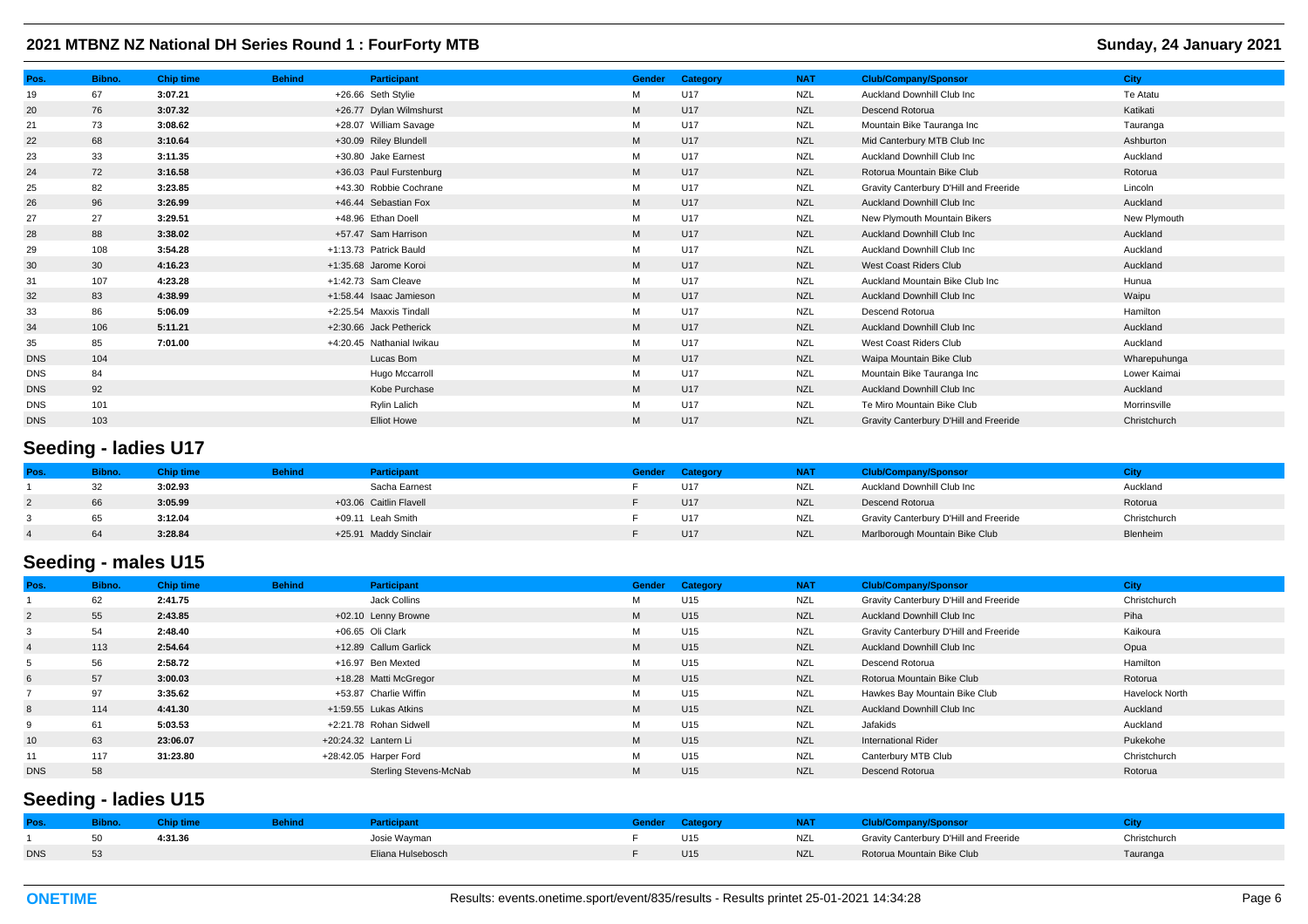| Pos.       | Bibno. | <b>Chip time</b> | <b>Behind</b> | <b>Participant</b>        | <b>Gender</b> | Category | <b>NAT</b> | <b>Club/Company/Sponsor</b>            | <b>City</b>  |
|------------|--------|------------------|---------------|---------------------------|---------------|----------|------------|----------------------------------------|--------------|
| 19         | 67     | 3:07.21          |               | +26.66 Seth Stylie        | М             | U17      | <b>NZL</b> | Auckland Downhill Club Inc             | Te Atatu     |
| 20         | 76     | 3:07.32          |               | +26.77 Dylan Wilmshurst   | M             | U17      | <b>NZL</b> | Descend Rotorua                        | Katikati     |
| 21         | 73     | 3:08.62          |               | +28.07 William Savage     | М             | U17      | <b>NZL</b> | Mountain Bike Tauranga Inc             | Tauranga     |
| 22         | 68     | 3:10.64          |               | +30.09 Riley Blundell     | M             | U17      | <b>NZL</b> | Mid Canterbury MTB Club Inc            | Ashburton    |
| 23         | 33     | 3:11.35          |               | +30.80 Jake Earnest       | M             | U17      | <b>NZL</b> | Auckland Downhill Club Inc             | Auckland     |
| 24         | 72     | 3:16.58          |               | +36.03 Paul Furstenburg   | M             | U17      | <b>NZL</b> | Rotorua Mountain Bike Club             | Rotorua      |
| 25         | 82     | 3:23.85          |               | +43.30 Robbie Cochrane    | М             | U17      | <b>NZL</b> | Gravity Canterbury D'Hill and Freeride | Lincoln      |
| 26         | 96     | 3:26.99          |               | +46.44 Sebastian Fox      | M             | U17      | <b>NZL</b> | <b>Auckland Downhill Club Inc.</b>     | Auckland     |
| 27         | 27     | 3:29.51          |               | +48.96 Ethan Doell        | М             | U17      | NZL        | New Plymouth Mountain Bikers           | New Plymouth |
| 28         | 88     | 3:38.02          |               | +57.47 Sam Harrison       | M             | U17      | <b>NZL</b> | <b>Auckland Downhill Club Inc.</b>     | Auckland     |
| 29         | 108    | 3:54.28          |               | +1:13.73 Patrick Bauld    | M             | U17      | <b>NZL</b> | Auckland Downhill Club Inc             | Auckland     |
| 30         | 30     | 4:16.23          |               | +1:35.68 Jarome Koroi     | M             | U17      | <b>NZL</b> | West Coast Riders Club                 | Auckland     |
| 31         | 107    | 4:23.28          |               | +1:42.73 Sam Cleave       | М             | U17      | <b>NZL</b> | Auckland Mountain Bike Club Inc        | Hunua        |
| 32         | 83     | 4:38.99          |               | +1:58.44 Isaac Jamieson   | M             | U17      | <b>NZL</b> | <b>Auckland Downhill Club Inc.</b>     | Waipu        |
| 33         | 86     | 5:06.09          |               | +2:25.54 Maxxis Tindall   | M             | U17      | NZL        | Descend Rotorua                        | Hamilton     |
| 34         | 106    | 5:11.21          |               | +2:30.66 Jack Petherick   | M             | U17      | <b>NZL</b> | <b>Auckland Downhill Club Inc.</b>     | Auckland     |
| 35         | 85     | 7:01.00          |               | +4:20.45 Nathanial Iwikau | М             | U17      | <b>NZL</b> | West Coast Riders Club                 | Auckland     |
| <b>DNS</b> | 104    |                  |               | Lucas Bom                 | M             | U17      | <b>NZL</b> | Waipa Mountain Bike Club               | Wharepuhunga |
| <b>DNS</b> | 84     |                  |               | Hugo Mccarroll            | M             | U17      | <b>NZL</b> | Mountain Bike Tauranga Inc             | Lower Kaimai |
| <b>DNS</b> | 92     |                  |               | Kobe Purchase             | M             | U17      | <b>NZL</b> | Auckland Downhill Club Inc.            | Auckland     |
| <b>DNS</b> | 101    |                  |               | Rylin Lalich              | М             | U17      | <b>NZL</b> | Te Miro Mountain Bike Club             | Morrinsville |
| <b>DNS</b> | 103    |                  |               | <b>Elliot Howe</b>        | M             | U17      | <b>NZL</b> | Gravity Canterbury D'Hill and Freeride | Christchurch |

# **Seeding - ladies U17**

|    | Chip time | <b>Behind</b> | <b>Participant</b>     | Gender | Category | <b>NAT</b> | <b>Club/Company/Sponsor</b>            |              |
|----|-----------|---------------|------------------------|--------|----------|------------|----------------------------------------|--------------|
| 32 | 3:02.93   |               | Sacha Earnest          |        | U17      | NZL        | Auckland Downhill Club Inc             | Auckland     |
| 66 | 3:05.99   |               | +03.06 Caitlin Flavell |        | U17      | <b>NZL</b> | Descend Rotorua                        | Rotorua      |
| 65 | 3:12.04   |               | +09.11 Leah Smith      |        | U17      | NZL        | Gravity Canterbury D'Hill and Freeride | Christchurch |
| 64 | 3:28.84   |               | +25.91 Maddy Sinclair  |        | U17      | <b>NZL</b> | Marlborough Mountain Bike Club         | Blenheim     |

# **Seeding - males U15**

| Pos.            | Bibno. | <b>Chip time</b> | <b>Behind</b> | Participant            | Gender | Category        | <b>NAT</b> | <b>Club/Company/Sponsor</b>            | <b>City</b>           |
|-----------------|--------|------------------|---------------|------------------------|--------|-----------------|------------|----------------------------------------|-----------------------|
|                 | 62     | 2:41.75          |               | Jack Collins           | м      | U15             | <b>NZL</b> | Gravity Canterbury D'Hill and Freeride | Christchurch          |
| $\overline{2}$  | 55     | 2:43.85          |               | +02.10 Lenny Browne    | M      | U <sub>15</sub> | <b>NZL</b> | Auckland Downhill Club Inc             | Piha                  |
|                 | 54     | 2:48.40          |               | +06.65 Oli Clark       | M      | U15             | <b>NZL</b> | Gravity Canterbury D'Hill and Freeride | Kaikoura              |
|                 | 113    | 2:54.64          |               | +12.89 Callum Garlick  | M      | U <sub>15</sub> | <b>NZL</b> | Auckland Downhill Club Inc             | Opua                  |
|                 | 56     | 2:58.72          |               | +16.97 Ben Mexted      | M      | U15             | <b>NZL</b> | Descend Rotorua                        | Hamilton              |
| 6               | 57     | 3:00.03          |               | +18.28 Matti McGregor  | M      | U <sub>15</sub> | <b>NZL</b> | Rotorua Mountain Bike Club             | Rotorua               |
|                 | 97     | 3:35.62          |               | +53.87 Charlie Wiffin  | M      | U15             | NZL        | Hawkes Bay Mountain Bike Club          | <b>Havelock North</b> |
| 8               | 114    | 4:41.30          |               | +1:59.55 Lukas Atkins  | M      | U <sub>15</sub> | <b>NZL</b> | Auckland Downhill Club Inc             | Auckland              |
| $\mathbf{Q}$    | 61     | 5:03.53          |               | +2:21.78 Rohan Sidwell | M      | U15             | NZL        | Jafakids                               | Auckland              |
| 10 <sup>1</sup> | 63     | 23:06.07         |               | +20:24.32 Lantern Li   | M      | U <sub>15</sub> | <b>NZL</b> | <b>International Rider</b>             | Pukekohe              |
| 11              | 117    | 31:23.80         |               | +28:42.05 Harper Ford  | M      | U15             | <b>NZL</b> | Canterbury MTB Club                    | Christchurch          |
| <b>DNS</b>      | 58     |                  |               | Sterling Stevens-McNab | M      | U15             | <b>NZL</b> | Descend Rotorua                        | Rotorua               |

# **Seeding - ladies U15**

| Pos.       | sipno. |         | <u>A</u> dicipant | Bende | Category | NAT        | :lub/Company/Sponsor                   |              |
|------------|--------|---------|-------------------|-------|----------|------------|----------------------------------------|--------------|
|            | 50     | 4:31.36 | Josie Wayman      |       | U15      | <b>NZL</b> | Gravity Canterbury D'Hill and Freeride | Christchurch |
| <b>DNS</b> | 53     |         | Fliana Hulsebosch |       | U15      | <b>NZL</b> | Rotorua Mountain Bike Club             | fauranga     |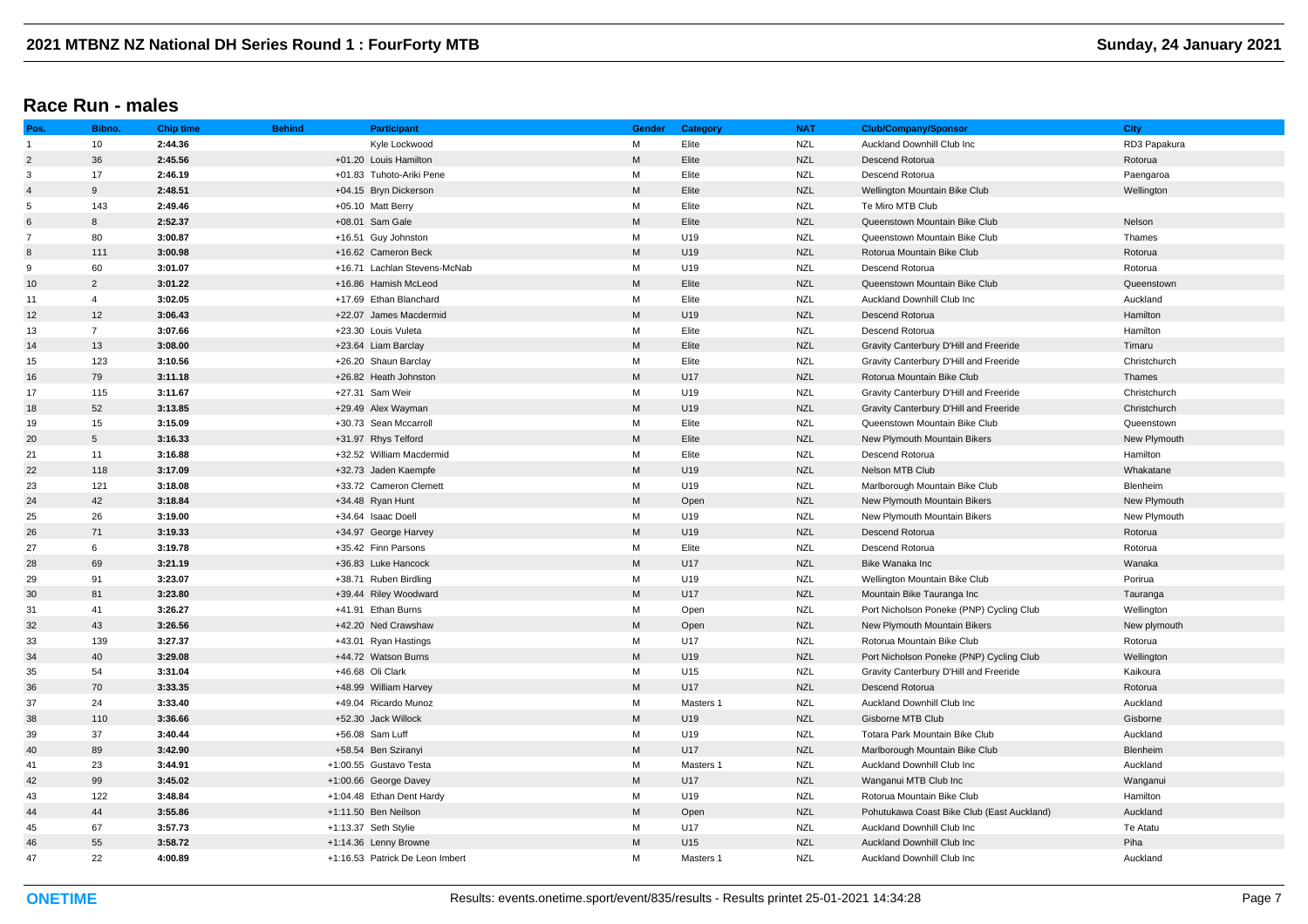## **Race Run - males**

| Pos.           | Bibno.          | <b>Chip time</b> | <b>Behind</b> | <b>Participant</b>              | <b>Gender</b>                                                                                              | Category  | <b>NAT</b> | <b>Club/Company/Sponsor</b>                | <b>City</b>  |
|----------------|-----------------|------------------|---------------|---------------------------------|------------------------------------------------------------------------------------------------------------|-----------|------------|--------------------------------------------|--------------|
| $\overline{1}$ | 10              | 2:44.36          |               | Kyle Lockwood                   | м                                                                                                          | Elite     | <b>NZL</b> | Auckland Downhill Club Inc                 | RD3 Papakura |
| $\overline{2}$ | 36              | 2:45.56          |               | +01.20 Louis Hamilton           | M                                                                                                          | Elite     | <b>NZL</b> | Descend Rotorua                            | Rotorua      |
| 3              | 17              | 2:46.19          |               | +01.83 Tuhoto-Ariki Pene        | М                                                                                                          | Elite     | <b>NZL</b> | Descend Rotorua                            | Paengaroa    |
| $\overline{4}$ | 9               | 2:48.51          |               | +04.15 Bryn Dickerson           | M                                                                                                          | Elite     | <b>NZL</b> | Wellington Mountain Bike Club              | Wellington   |
| 5              | 143             | 2:49.46          |               | +05.10 Matt Berry               | М                                                                                                          | Elite     | <b>NZL</b> | Te Miro MTB Club                           |              |
| 6              | 8               | 2:52.37          |               | +08.01 Sam Gale                 | M                                                                                                          | Elite     | <b>NZL</b> | Queenstown Mountain Bike Club              | Nelson       |
| $\overline{7}$ | 80              | 3:00.87          |               | +16.51 Guy Johnston             | M                                                                                                          | U19       | <b>NZL</b> | Queenstown Mountain Bike Club              | Thames       |
| 8              | 111             | 3:00.98          |               | +16.62 Cameron Beck             | M                                                                                                          | U19       | <b>NZL</b> | Rotorua Mountain Bike Club                 | Rotorua      |
| 9              | 60              | 3:01.07          |               | +16.71 Lachlan Stevens-McNab    | M                                                                                                          | U19       | <b>NZL</b> | Descend Rotorua                            | Rotorua      |
| 10             | $\overline{2}$  | 3:01.22          |               | +16.86 Hamish McLeod            | M                                                                                                          | Elite     | <b>NZL</b> | Queenstown Mountain Bike Club              | Queenstown   |
| 11             | $\overline{4}$  | 3:02.05          |               | +17.69 Ethan Blanchard          | М                                                                                                          | Elite     | <b>NZL</b> | Auckland Downhill Club Inc                 | Auckland     |
| 12             | 12              | 3:06.43          |               | +22.07 James Macdermid          | M                                                                                                          | U19       | <b>NZL</b> | Descend Rotorua                            | Hamilton     |
| 13             | $\overline{7}$  | 3:07.66          |               | +23.30 Louis Vuleta             | М                                                                                                          | Elite     | <b>NZL</b> | Descend Rotorua                            | Hamilton     |
| 14             | 13              | 3:08.00          |               | +23.64 Liam Barclay             | $\mathsf{M}% _{T}=\mathsf{M}_{T}\!\left( a,b\right) ,\ \mathsf{M}_{T}=\mathsf{M}_{T}\!\left( a,b\right) ,$ | Elite     | <b>NZL</b> | Gravity Canterbury D'Hill and Freeride     | Timaru       |
| 15             | 123             | 3:10.56          |               | +26.20 Shaun Barclay            | М                                                                                                          | Elite     | <b>NZL</b> | Gravity Canterbury D'Hill and Freeride     | Christchurch |
| 16             | 79              | 3:11.18          |               | +26.82 Heath Johnston           | M                                                                                                          | U17       | <b>NZL</b> | Rotorua Mountain Bike Club                 | Thames       |
| 17             | 115             | 3:11.67          |               | +27.31 Sam Weir                 | М                                                                                                          | U19       | <b>NZL</b> | Gravity Canterbury D'Hill and Freeride     | Christchurch |
| 18             | 52              | 3:13.85          |               | +29.49 Alex Wayman              | M                                                                                                          | U19       | <b>NZL</b> | Gravity Canterbury D'Hill and Freeride     | Christchurch |
| 19             | 15              | 3:15.09          |               | +30.73 Sean Mccarroll           | М                                                                                                          | Elite     | <b>NZL</b> | Queenstown Mountain Bike Club              | Queenstown   |
| 20             | $5\phantom{.0}$ | 3:16.33          |               | +31.97 Rhys Telford             | M                                                                                                          | Elite     | <b>NZL</b> | New Plymouth Mountain Bikers               | New Plymouth |
| 21             | 11              | 3:16.88          |               | +32.52 William Macdermid        | М                                                                                                          | Elite     | <b>NZL</b> | Descend Rotorua                            | Hamilton     |
| 22             | 118             | 3:17.09          |               | +32.73 Jaden Kaempfe            | M                                                                                                          | U19       | <b>NZL</b> | Nelson MTB Club                            | Whakatane    |
| 23             | 121             | 3:18.08          |               | +33.72 Cameron Clemett          | M                                                                                                          | U19       | <b>NZL</b> | Marlborough Mountain Bike Club             | Blenheim     |
| 24             | 42              | 3:18.84          |               | +34.48 Ryan Hunt                | M                                                                                                          | Open      | <b>NZL</b> | New Plymouth Mountain Bikers               | New Plymouth |
| 25             | 26              | 3:19.00          |               | +34.64 Isaac Doell              | M                                                                                                          | U19       | <b>NZL</b> | New Plymouth Mountain Bikers               | New Plymouth |
| 26             | 71              | 3:19.33          |               | +34.97 George Harvey            | M                                                                                                          | U19       | <b>NZL</b> | Descend Rotorua                            | Rotorua      |
| 27             | 6               | 3:19.78          |               | +35.42 Finn Parsons             | М                                                                                                          | Elite     | <b>NZL</b> | Descend Rotorua                            | Rotorua      |
| 28             | 69              | 3:21.19          |               | +36.83 Luke Hancock             | M                                                                                                          | U17       | <b>NZL</b> | Bike Wanaka Inc                            | Wanaka       |
| 29             | 91              | 3:23.07          |               | +38.71 Ruben Birdling           | М                                                                                                          | U19       | <b>NZL</b> | Wellington Mountain Bike Club              | Porirua      |
| 30             | 81              | 3:23.80          |               | +39.44 Riley Woodward           | M                                                                                                          | U17       | <b>NZL</b> | Mountain Bike Tauranga Inc                 | Tauranga     |
| 31             | 41              | 3:26.27          |               | +41.91 Ethan Burns              | M                                                                                                          | Open      | <b>NZL</b> | Port Nicholson Poneke (PNP) Cycling Club   | Wellington   |
| 32             | 43              | 3:26.56          |               | +42.20 Ned Crawshaw             | M                                                                                                          | Open      | <b>NZL</b> | New Plymouth Mountain Bikers               | New plymouth |
| 33             | 139             | 3:27.37          |               | +43.01 Ryan Hastings            | M                                                                                                          | U17       | <b>NZL</b> | Rotorua Mountain Bike Club                 | Rotorua      |
| 34             | 40              | 3:29.08          |               | +44.72 Watson Burns             | M                                                                                                          | U19       | <b>NZL</b> | Port Nicholson Poneke (PNP) Cycling Club   | Wellington   |
| 35             | 54              | 3:31.04          |               | +46.68 Oli Clark                | М                                                                                                          | U15       | <b>NZL</b> | Gravity Canterbury D'Hill and Freeride     | Kaikoura     |
| 36             | 70              | 3:33.35          |               | +48.99 William Harvey           | M                                                                                                          | U17       | <b>NZL</b> | Descend Rotorua                            | Rotorua      |
| 37             | 24              | 3:33.40          |               | +49.04 Ricardo Munoz            | M                                                                                                          | Masters 1 | <b>NZL</b> | Auckland Downhill Club Inc                 | Auckland     |
| 38             | 110             | 3:36.66          |               | +52.30 Jack Willock             | M                                                                                                          | U19       | <b>NZL</b> | Gisborne MTB Club                          | Gisborne     |
| 39             | 37              | 3:40.44          |               | +56.08 Sam Luff                 | М                                                                                                          | U19       | <b>NZL</b> | Totara Park Mountain Bike Club             | Auckland     |
| 40             | 89              | 3:42.90          |               | +58.54 Ben Sziranyi             | $\mathsf{M}% _{T}=\mathsf{M}_{T}\!\left( a,b\right) ,\ \mathsf{M}_{T}=\mathsf{M}_{T}\!\left( a,b\right) ,$ | U17       | <b>NZL</b> | Marlborough Mountain Bike Club             | Blenheim     |
| 41             | 23              | 3:44.91          |               | +1:00.55 Gustavo Testa          | М                                                                                                          | Masters 1 | <b>NZL</b> | Auckland Downhill Club Inc                 | Auckland     |
| 42             | 99              | 3:45.02          |               | +1:00.66 George Davey           | M                                                                                                          | U17       | <b>NZL</b> | Wanganui MTB Club Inc                      | Wanganui     |
| 43             | 122             | 3:48.84          |               | +1:04.48 Ethan Dent Hardy       | M                                                                                                          | U19       | <b>NZL</b> | Rotorua Mountain Bike Club                 | Hamilton     |
| 44             | 44              | 3:55.86          |               | +1:11.50 Ben Neilson            | M                                                                                                          | Open      | <b>NZL</b> | Pohutukawa Coast Bike Club (East Auckland) | Auckland     |
| 45             | 67              | 3:57.73          |               | +1:13.37 Seth Stylie            | М                                                                                                          | U17       | <b>NZL</b> | Auckland Downhill Club Inc                 | Te Atatu     |
| 46             | 55              | 3:58.72          |               | +1:14.36 Lenny Browne           | M                                                                                                          | U15       | <b>NZL</b> | Auckland Downhill Club Inc                 | Piha         |
| 47             | 22              | 4:00.89          |               | +1:16.53 Patrick De Leon Imbert | M                                                                                                          | Masters 1 | <b>NZL</b> | Auckland Downhill Club Inc                 | Auckland     |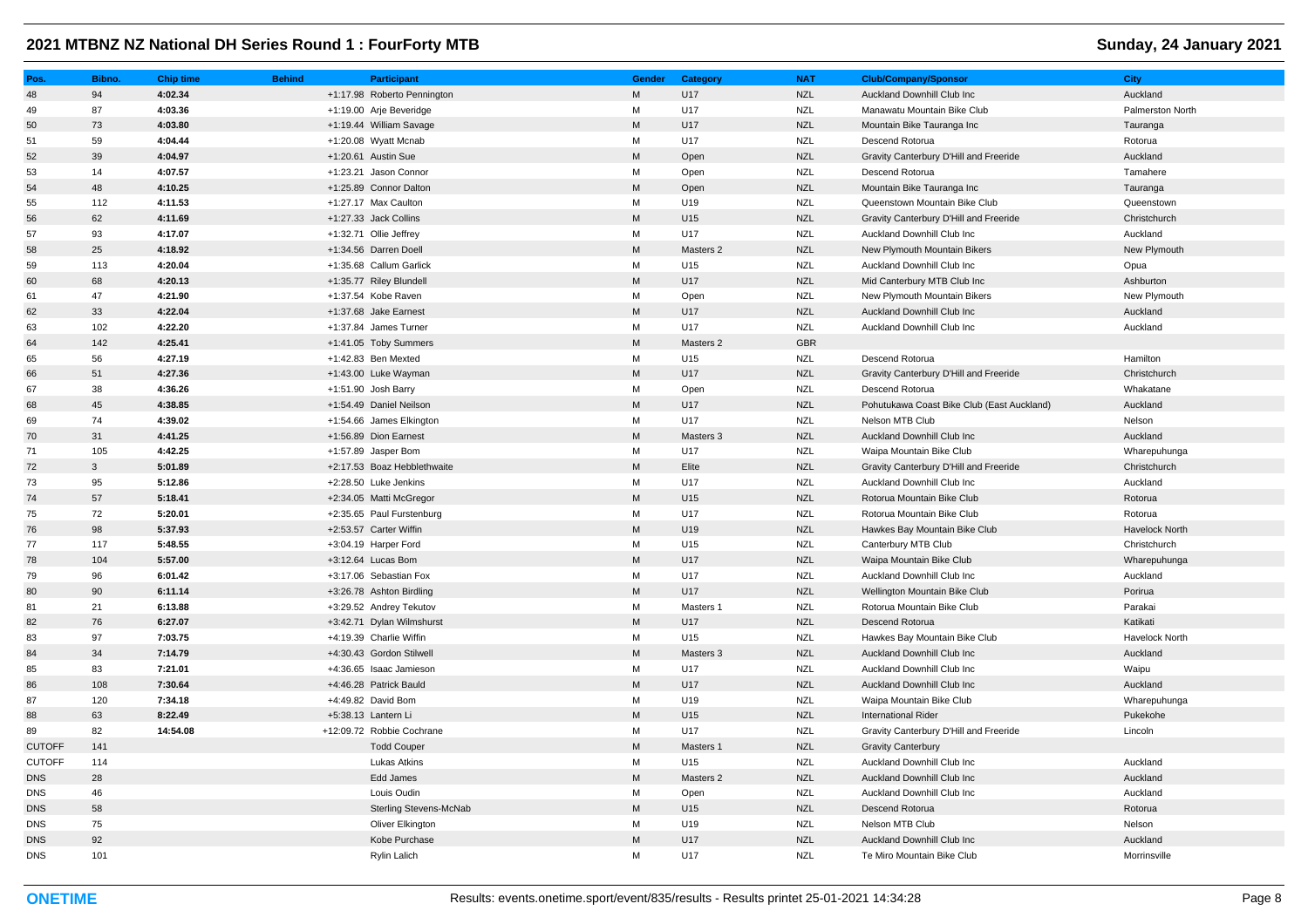| Pos.          | Bibno.       | <b>Chip time</b> | <b>Behind</b> | <b>Participant</b>            | Gender    | Category  | <b>NAT</b> | <b>Club/Company/Sponsor</b>                | <b>City</b>           |
|---------------|--------------|------------------|---------------|-------------------------------|-----------|-----------|------------|--------------------------------------------|-----------------------|
| 48            | 94           | 4:02.34          |               | +1:17.98 Roberto Pennington   | M         | U17       | <b>NZL</b> | Auckland Downhill Club Inc                 | Auckland              |
| 49            | 87           | 4:03.36          |               | +1:19.00 Arje Beveridge       | м         | U17       | <b>NZL</b> | Manawatu Mountain Bike Club                | Palmerston North      |
| 50            | 73           | 4:03.80          |               | +1:19.44 William Savage       | M         | U17       | <b>NZL</b> | Mountain Bike Tauranga Inc                 | Tauranga              |
| 51            | 59           | 4:04.44          |               | +1:20.08 Wyatt Mcnab          | М         | U17       | <b>NZL</b> | Descend Rotorua                            | Rotorua               |
| 52            | 39           | 4:04.97          |               | +1:20.61 Austin Sue           | M         | Open      | <b>NZL</b> | Gravity Canterbury D'Hill and Freeride     | Auckland              |
| 53            | 14           | 4:07.57          |               | +1:23.21 Jason Connor         | М         | Open      | <b>NZL</b> | Descend Rotorua                            | Tamahere              |
| 54            | 48           | 4:10.25          |               | +1:25.89 Connor Dalton        | M         | Open      | <b>NZL</b> | Mountain Bike Tauranga Inc                 | Tauranga              |
| 55            | 112          | 4:11.53          |               | +1:27.17 Max Caulton          | M         | U19       | <b>NZL</b> | Queenstown Mountain Bike Club              | Queenstown            |
| 56            | 62           | 4:11.69          |               | +1:27.33 Jack Collins         | M         | U15       | <b>NZL</b> | Gravity Canterbury D'Hill and Freeride     | Christchurch          |
| 57            | 93           | 4:17.07          |               | +1:32.71 Ollie Jeffrey        | М         | U17       | <b>NZL</b> | Auckland Downhill Club Inc                 | Auckland              |
| 58            | 25           | 4:18.92          |               | +1:34.56 Darren Doell         | M         | Masters 2 | <b>NZL</b> | New Plymouth Mountain Bikers               | New Plymouth          |
| 59            | 113          | 4:20.04          |               | +1:35.68 Callum Garlick       | М         | U15       | <b>NZL</b> | Auckland Downhill Club Inc                 | Opua                  |
| 60            | 68           | 4:20.13          |               | +1:35.77 Riley Blundell       | M         | U17       | <b>NZL</b> | Mid Canterbury MTB Club Inc                | Ashburton             |
| 61            | 47           | 4:21.90          |               | +1:37.54 Kobe Raven           | M         | Open      | <b>NZL</b> | New Plymouth Mountain Bikers               | New Plymouth          |
| 62            | 33           | 4:22.04          |               | +1:37.68 Jake Earnest         | M         | U17       | <b>NZL</b> | Auckland Downhill Club Inc                 | Auckland              |
| 63            | 102          | 4:22.20          |               | +1:37.84 James Turner         | М         | U17       | <b>NZL</b> | Auckland Downhill Club Inc                 | Auckland              |
| 64            | 142          | 4:25.41          |               | +1:41.05 Toby Summers         | M         | Masters 2 | <b>GBR</b> |                                            |                       |
| 65            | 56           | 4:27.19          |               | +1:42.83 Ben Mexted           | М         | U15       | <b>NZL</b> | Descend Rotorua                            | Hamilton              |
| 66            | 51           | 4:27.36          |               | +1:43.00 Luke Wayman          | M         | U17       | <b>NZL</b> | Gravity Canterbury D'Hill and Freeride     | Christchurch          |
| 67            | 38           | 4:36.26          |               | +1:51.90 Josh Barry           | M         | Open      | <b>NZL</b> | Descend Rotorua                            | Whakatane             |
| 68            | 45           | 4:38.85          |               | +1:54.49 Daniel Neilson       | M         | U17       | <b>NZL</b> | Pohutukawa Coast Bike Club (East Auckland) | Auckland              |
| 69            | 74           | 4:39.02          |               | +1:54.66 James Elkington      | М         | U17       | <b>NZL</b> | Nelson MTB Club                            | Nelson                |
| 70            | 31           | 4:41.25          |               | +1:56.89 Dion Earnest         | M         | Masters 3 | <b>NZL</b> | Auckland Downhill Club Inc                 | Auckland              |
| 71            | 105          | 4:42.25          |               | +1:57.89 Jasper Bom           | M         | U17       | NZL        | Waipa Mountain Bike Club                   | Wharepuhunga          |
| 72            | $\mathbf{3}$ | 5:01.89          |               | +2:17.53 Boaz Hebblethwaite   | M         | Elite     | <b>NZL</b> | Gravity Canterbury D'Hill and Freeride     | Christchurch          |
| 73            | 95           | 5:12.86          |               | +2:28.50 Luke Jenkins         | M         | U17       | <b>NZL</b> | Auckland Downhill Club Inc                 | Auckland              |
| 74            | 57           | 5:18.41          |               | +2:34.05 Matti McGregor       | M         | U15       | <b>NZL</b> | Rotorua Mountain Bike Club                 | Rotorua               |
| 75            | 72           | 5:20.01          |               | +2:35.65 Paul Furstenburg     | М         | U17       | <b>NZL</b> | Rotorua Mountain Bike Club                 | Rotorua               |
| 76            | 98           | 5:37.93          |               | +2:53.57 Carter Wiffin        | M         | U19       | <b>NZL</b> | Hawkes Bay Mountain Bike Club              | <b>Havelock North</b> |
| 77            | 117          | 5:48.55          |               | +3:04.19 Harper Ford          | М         | U15       | <b>NZL</b> | Canterbury MTB Club                        | Christchurch          |
| 78            | 104          | 5:57.00          |               | +3:12.64 Lucas Bom            | M         | U17       | <b>NZL</b> | Waipa Mountain Bike Club                   | Wharepuhunga          |
| 79            | 96           | 6:01.42          |               | +3:17.06 Sebastian Fox        | M         | U17       | <b>NZL</b> | Auckland Downhill Club Inc                 | Auckland              |
| 80            | 90           | 6:11.14          |               | +3:26.78 Ashton Birdling      | M         | U17       | <b>NZL</b> | Wellington Mountain Bike Club              | Porirua               |
| 81            | 21           | 6:13.88          |               | +3:29.52 Andrey Tekutov       | М         | Masters 1 | <b>NZL</b> | Rotorua Mountain Bike Club                 | Parakai               |
| 82            | 76           | 6:27.07          |               | +3:42.71 Dylan Wilmshurst     | M         | U17       | <b>NZL</b> | Descend Rotorua                            | Katikati              |
| 83            | 97           | 7:03.75          |               | +4:19.39 Charlie Wiffin       | М         | U15       | <b>NZL</b> | Hawkes Bay Mountain Bike Club              | Havelock North        |
| 84            | 34           | 7:14.79          |               | +4:30.43 Gordon Stilwell      | M         | Masters 3 | <b>NZL</b> | Auckland Downhill Club Inc                 | Auckland              |
| 85            | 83           | 7:21.01          |               | +4:36.65 Isaac Jamieson       | M         | U17       | <b>NZL</b> | Auckland Downhill Club Inc                 | Waipu                 |
| 86            | 108          | 7:30.64          |               | +4:46.28 Patrick Bauld        | M         | U17       | <b>NZL</b> | Auckland Downhill Club Inc                 | Auckland              |
| 87            | 120          | 7:34.18          |               | +4:49.82 David Bom            | М         | U19       | <b>NZL</b> | Waipa Mountain Bike Club                   | Wharepuhunga          |
| 88            | 63           | 8:22.49          |               | +5:38.13 Lantern Li           | M         | U15       | <b>NZL</b> | <b>International Rider</b>                 | Pukekohe              |
| 89            | 82           | 14:54.08         |               | +12:09.72 Robbie Cochrane     | М         | U17       | <b>NZL</b> | Gravity Canterbury D'Hill and Freeride     | Lincoln               |
| <b>CUTOFF</b> | 141          |                  |               | <b>Todd Couper</b>            | M         | Masters 1 | <b>NZL</b> | <b>Gravity Canterbury</b>                  |                       |
| <b>CUTOFF</b> | 114          |                  |               | Lukas Atkins                  | M         | U15       | <b>NZL</b> | Auckland Downhill Club Inc                 | Auckland              |
| <b>DNS</b>    | 28           |                  |               | Edd James                     | M         | Masters 2 | <b>NZL</b> | Auckland Downhill Club Inc                 | Auckland              |
| <b>DNS</b>    | 46           |                  |               | Louis Oudin                   | М         | Open      | <b>NZL</b> | Auckland Downhill Club Inc                 | Auckland              |
| <b>DNS</b>    | 58           |                  |               | <b>Sterling Stevens-McNab</b> | ${\sf M}$ | U15       | <b>NZL</b> | Descend Rotorua                            | Rotorua               |
| <b>DNS</b>    | 75           |                  |               | Oliver Elkington              | M         | U19       | <b>NZL</b> | Nelson MTB Club                            | Nelson                |
| <b>DNS</b>    | 92           |                  |               | Kobe Purchase                 | M         | U17       | <b>NZL</b> | Auckland Downhill Club Inc                 | Auckland              |
| <b>DNS</b>    | 101          |                  |               | Rylin Lalich                  | M         | U17       | <b>NZL</b> | Te Miro Mountain Bike Club                 | Morrinsville          |
|               |              |                  |               |                               |           |           |            |                                            |                       |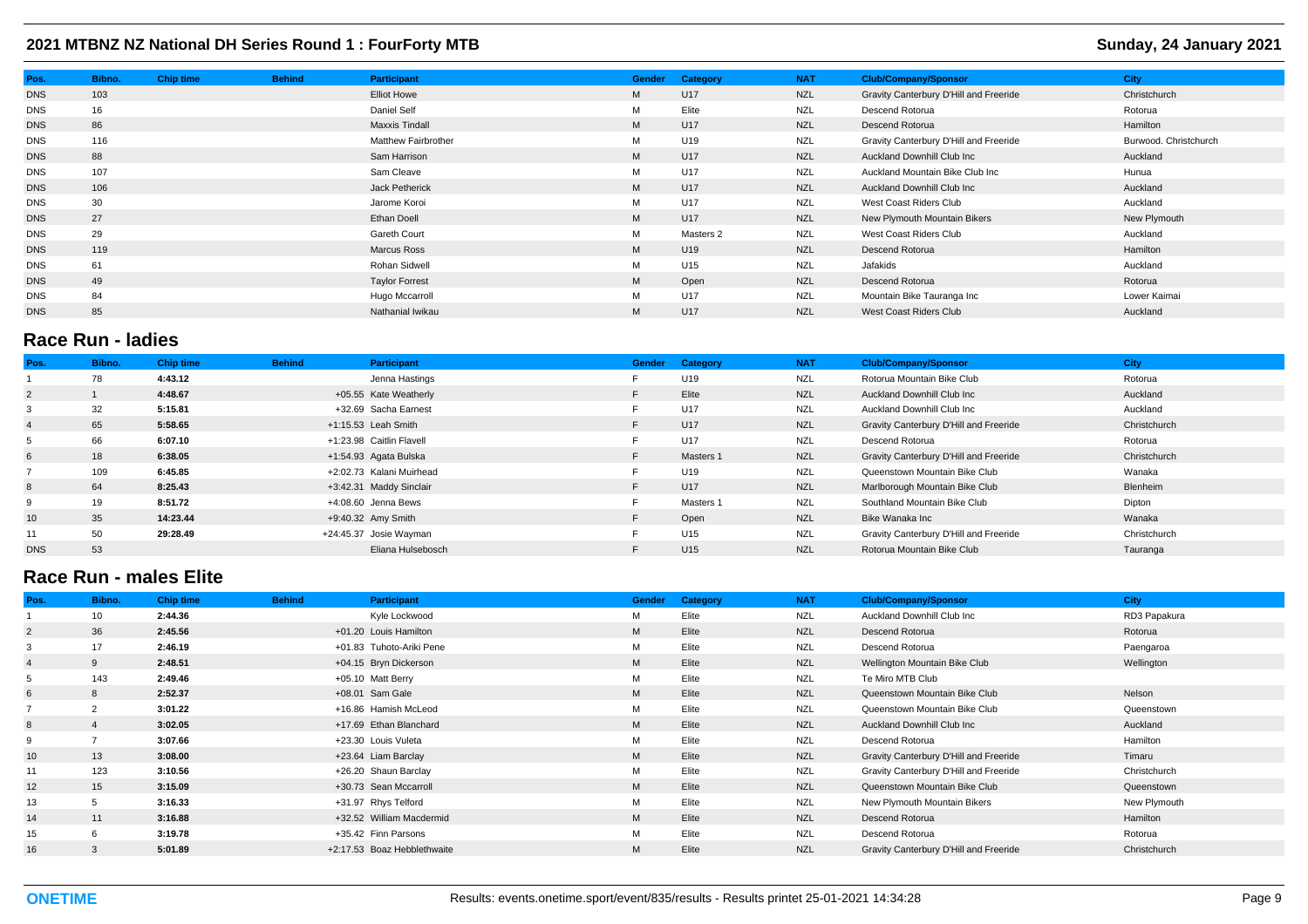| Pos.       | Bibno. | <b>Chip time</b> | <b>Behind</b> | Participant                | <b>Gender</b> | Category  | <b>NAT</b> | <b>Club/Company/Sponsor</b>            | <b>City</b>           |
|------------|--------|------------------|---------------|----------------------------|---------------|-----------|------------|----------------------------------------|-----------------------|
| <b>DNS</b> | 103    |                  |               | <b>Elliot Howe</b>         | M             | U17       | <b>NZL</b> | Gravity Canterbury D'Hill and Freeride | Christchurch          |
| <b>DNS</b> | 16     |                  |               | Daniel Self                | M             | Elite     | <b>NZL</b> | Descend Rotorua                        | Rotorua               |
| <b>DNS</b> | 86     |                  |               | <b>Maxxis Tindall</b>      | M             | U17       | <b>NZL</b> | Descend Rotorua                        | Hamilton              |
| <b>DNS</b> | 116    |                  |               | <b>Matthew Fairbrother</b> | M             | U19       | <b>NZL</b> | Gravity Canterbury D'Hill and Freeride | Burwood. Christchurch |
| <b>DNS</b> | 88     |                  |               | Sam Harrison               | M             | U17       | <b>NZL</b> | Auckland Downhill Club Inc             | Auckland              |
| <b>DNS</b> | 107    |                  |               | Sam Cleave                 | M             | U17       | <b>NZL</b> | Auckland Mountain Bike Club Inc        | Hunua                 |
| <b>DNS</b> | 106    |                  |               | Jack Petherick             | M             | U17       | <b>NZL</b> | Auckland Downhill Club Inc             | Auckland              |
| <b>DNS</b> | 30     |                  |               | Jarome Koroi               | M             | U17       | <b>NZL</b> | West Coast Riders Club                 | Auckland              |
| <b>DNS</b> | 27     |                  |               | Ethan Doell                | M             | U17       | <b>NZL</b> | New Plymouth Mountain Bikers           | New Plymouth          |
| <b>DNS</b> | 29     |                  |               | Gareth Court               | M             | Masters 2 | <b>NZL</b> | West Coast Riders Club                 | Auckland              |
| <b>DNS</b> | 119    |                  |               | Marcus Ross                | M             | U19       | <b>NZL</b> | Descend Rotorua                        | Hamilton              |
| <b>DNS</b> | 61     |                  |               | Rohan Sidwell              | M             | U15       | <b>NZL</b> | Jafakids                               | Auckland              |
| <b>DNS</b> | 49     |                  |               | <b>Taylor Forrest</b>      | M             | Open      | <b>NZL</b> | Descend Rotorua                        | Rotorua               |
| <b>DNS</b> | 84     |                  |               | Hugo Mccarroll             | M             | U17       | <b>NZL</b> | Mountain Bike Tauranga Inc             | Lower Kaimai          |
| <b>DNS</b> | 85     |                  |               | Nathanial Iwikau           | M             | U17       | <b>NZL</b> | West Coast Riders Club                 | Auckland              |
|            |        |                  |               |                            |               |           |            |                                        |                       |

## **Race Run - ladies**

| Pos.           | Bibno. | <b>Chip time</b> | <b>Behind</b> | <b>Participant</b>       | <b>Gender</b> | Category        | <b>NAT</b> | <b>Club/Company/Sponsor</b>            | <b>City</b>  |
|----------------|--------|------------------|---------------|--------------------------|---------------|-----------------|------------|----------------------------------------|--------------|
|                | 78     | 4:43.12          |               | Jenna Hastings           |               | U19             | NZL        | Rotorua Mountain Bike Club             | Rotorua      |
| $\overline{2}$ |        | 4:48.67          |               | +05.55 Kate Weatherly    | F.            | Elite           | <b>NZL</b> | Auckland Downhill Club Inc             | Auckland     |
| 3              | 32     | 5:15.81          |               | +32.69 Sacha Earnest     |               | U17             | <b>NZL</b> | Auckland Downhill Club Inc             | Auckland     |
| $\overline{4}$ | 65     | 5:58.65          |               | +1:15.53 Leah Smith      | F.            | U17             | <b>NZL</b> | Gravity Canterbury D'Hill and Freeride | Christchurch |
| 5              | 66     | 6:07.10          |               | +1:23.98 Caitlin Flavell |               | U17             | <b>NZL</b> | Descend Rotorua                        | Rotorua      |
| 6              | 18     | 6:38.05          |               | +1:54.93 Agata Bulska    | F.            | Masters 1       | <b>NZL</b> | Gravity Canterbury D'Hill and Freeride | Christchurch |
|                | 109    | 6:45.85          |               | +2:02.73 Kalani Muirhead |               | U19             | <b>NZL</b> | Queenstown Mountain Bike Club          | Wanaka       |
| 8              | 64     | 8:25.43          |               | +3:42.31 Maddy Sinclair  | F.            | U17             | <b>NZL</b> | Marlborough Mountain Bike Club         | Blenheim     |
| 9              | 19     | 8:51.72          |               | +4:08.60 Jenna Bews      |               | Masters 1       | <b>NZL</b> | Southland Mountain Bike Club           | Dipton       |
| 10             | 35     | 14:23.44         |               | +9:40.32 Amy Smith       | F.            | Open            | <b>NZL</b> | Bike Wanaka Inc                        | Wanaka       |
| 11             | 50     | 29:28.49         |               | +24:45.37 Josie Wayman   |               | U15             | <b>NZL</b> | Gravity Canterbury D'Hill and Freeride | Christchurch |
| <b>DNS</b>     | 53     |                  |               | Eliana Hulsebosch        | F.            | U <sub>15</sub> | <b>NZL</b> | Rotorua Mountain Bike Club             | Tauranga     |

## **Race Run - males Elite**

| Pos.           | Bibno.       | <b>Chip time</b> | <b>Behind</b> | <b>Participant</b>          | <b>Gender</b> | Category | <b>NAT</b> | <b>Club/Company/Sponsor</b>            | <b>City</b>  |
|----------------|--------------|------------------|---------------|-----------------------------|---------------|----------|------------|----------------------------------------|--------------|
|                | 10           | 2:44.36          |               | Kyle Lockwood               | м             | Elite    | NZL        | Auckland Downhill Club Inc             | RD3 Papakura |
| $\overline{2}$ | 36           | 2:45.56          |               | +01.20 Louis Hamilton       | M             | Elite    | <b>NZL</b> | Descend Rotorua                        | Rotorua      |
|                | 17           | 2:46.19          |               | +01.83 Tuhoto-Ariki Pene    | М             | Elite    | <b>NZL</b> | Descend Rotorua                        | Paengaroa    |
|                | $\mathbf{Q}$ | 2:48.51          |               | +04.15 Bryn Dickerson       | M             | Elite    | <b>NZL</b> | Wellington Mountain Bike Club          | Wellington   |
|                | 143          | 2:49.46          |               | +05.10 Matt Berry           | м             | Elite    | <b>NZL</b> | Te Miro MTB Club                       |              |
| 6              | 8            | 2:52.37          |               | +08.01 Sam Gale             | M             | Elite    | <b>NZL</b> | Queenstown Mountain Bike Club          | Nelson       |
|                |              | 3:01.22          |               | +16.86 Hamish McLeod        | M             | Elite    | <b>NZL</b> | Queenstown Mountain Bike Club          | Queenstown   |
| 8              |              | 3:02.05          |               | +17.69 Ethan Blanchard      | M             | Elite    | <b>NZL</b> | <b>Auckland Downhill Club Inc.</b>     | Auckland     |
| 9              |              | 3:07.66          |               | +23.30 Louis Vuleta         | м             | Elite    | <b>NZL</b> | Descend Rotorua                        | Hamilton     |
| 10             | 13           | 3:08.00          |               | +23.64 Liam Barclay         | M             | Elite    | <b>NZL</b> | Gravity Canterbury D'Hill and Freeride | Timaru       |
| 11             | 123          | 3:10.56          |               | +26.20 Shaun Barclay        | М             | Elite    | <b>NZL</b> | Gravity Canterbury D'Hill and Freeride | Christchurch |
| 12             | 15           | 3:15.09          |               | +30.73 Sean Mccarroll       | M             | Elite    | <b>NZL</b> | Queenstown Mountain Bike Club          | Queenstown   |
| 13             |              | 3:16.33          |               | +31.97 Rhys Telford         | М             | Elite    | <b>NZL</b> | New Plymouth Mountain Bikers           | New Plymouth |
| 14             | 11           | 3:16.88          |               | +32.52 William Macdermid    | M             | Elite    | <b>NZL</b> | Descend Rotorua                        | Hamilton     |
| 15             |              | 3:19.78          |               | +35.42 Finn Parsons         | М             | Elite    | <b>NZL</b> | Descend Rotorua                        | Rotorua      |
| 16             | 3            | 5:01.89          |               | +2:17.53 Boaz Hebblethwaite | M             | Elite    | <b>NZL</b> | Gravity Canterbury D'Hill and Freeride | Christchurch |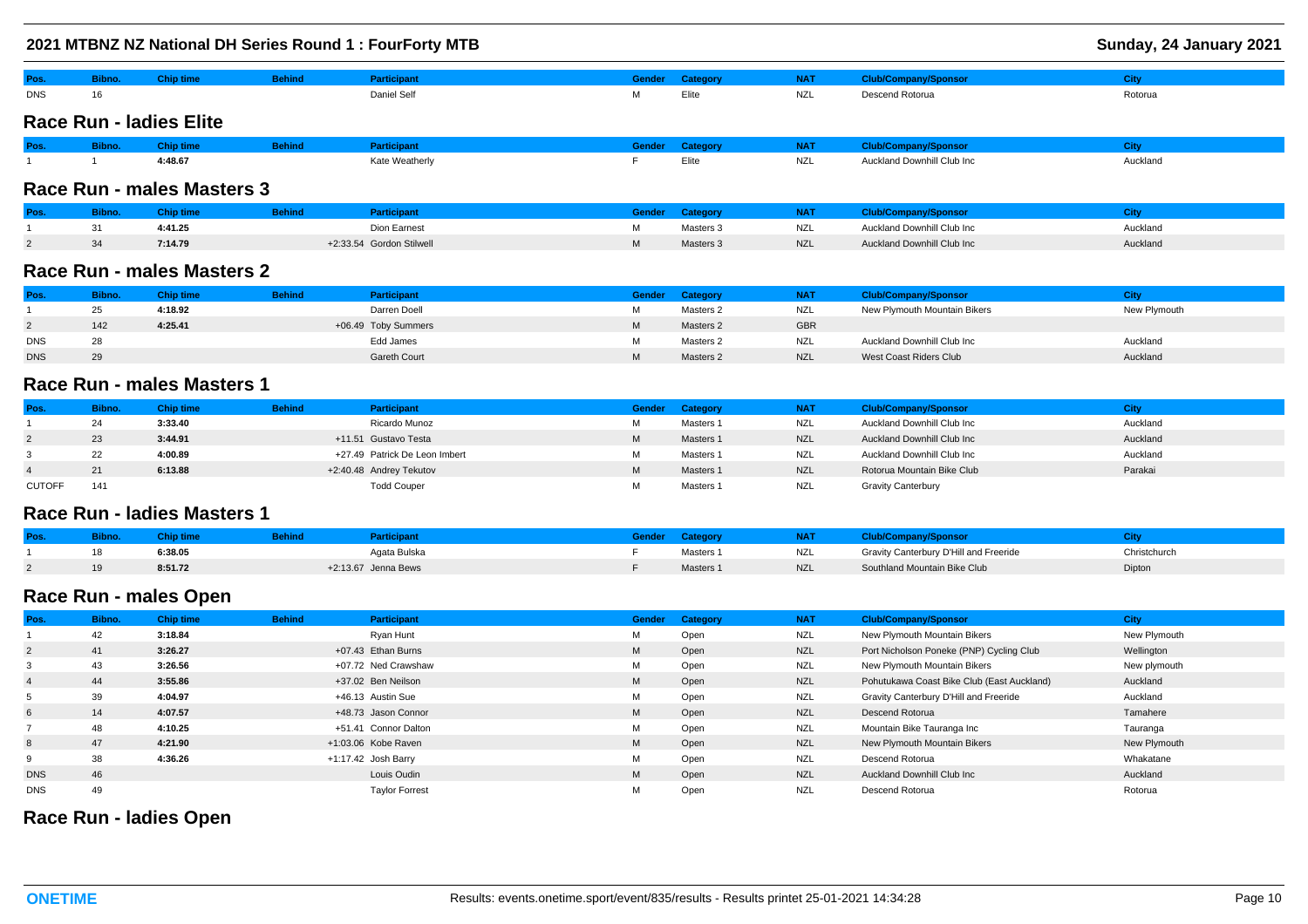|            |        |                                |               | 2021 MTBNZ NZ National DH Series Round 1 : FourForty MTB |   |                 |            |                             | Sunday, 24 January 2021 |
|------------|--------|--------------------------------|---------------|----------------------------------------------------------|---|-----------------|------------|-----------------------------|-------------------------|
| Pos.       | Bibno. | <b>Chip time</b>               | <b>Behind</b> | <b>Participant</b>                                       |   | Gender Category | <b>NAT</b> | <b>Club/Company/Sponsor</b> | <b>City</b>             |
| <b>DNS</b> | 16     |                                |               | Daniel Self                                              | м | Elite           | <b>NZL</b> | Descend Rotorua             | Rotorua                 |
|            |        | <b>Race Run - ladies Elite</b> |               |                                                          |   |                 |            |                             |                         |
| Pos.       | Bibno. | <b>Chip time</b>               | <b>Behind</b> | <b>Participant</b>                                       |   | Gender Category | <b>NAT</b> | <b>Club/Company/Sponsor</b> | City                    |
|            |        | 4:48.67                        |               | Kate Weatherly                                           |   | Elite           | <b>NZL</b> | Auckland Downhill Club Inc  | Auckland                |
|            |        | Race Run - males Masters 3     |               |                                                          |   |                 |            |                             |                         |

| Pos |    | hip time: | <b>Behind</b> |                          | sender i | ategory   |            | Club/Company/Sponsor_              |          |
|-----|----|-----------|---------------|--------------------------|----------|-----------|------------|------------------------------------|----------|
|     |    | 4:41.25   |               | Dion Earnest             |          | Masters 3 | <b>NZL</b> | Auckland Downhill Club Inc         | Auckland |
|     | 34 | 7:14.79   |               | +2:33.54 Gordon Stilwell |          | Masters 3 | <b>NZL</b> | <b>Auckland Downhill Club Inc.</b> | Auckland |

# **Race Run - males Masters 2**

| Pos        |     | <b>Chip time</b> | <b>Behind</b> | Participant         | Gender | Category  | <b>NAT</b> | <b>Club/Company/Sponsor</b>  | :itv         |
|------------|-----|------------------|---------------|---------------------|--------|-----------|------------|------------------------------|--------------|
|            | 25  | 4:18.92          |               | Darren Doell        | М      | Masters 2 | NZL        | New Plymouth Mountain Bikers | New Plymouth |
|            | 142 | 4:25.41          |               | +06.49 Toby Summers | М      | Masters 2 | <b>GBR</b> |                              |              |
| <b>DNS</b> | 28  |                  |               | Edd James           | М      | Masters 2 | NZL        | Auckland Downhill Club Inc   | Auckland     |
| <b>DNS</b> | 29  |                  |               | Gareth Court        | M      | Masters 2 | <b>NZL</b> | West Coast Riders Club       | Auckland     |

## **Race Run - males Masters 1**

| Pos.          | <b>Bibno.</b> | Chip time | <b>Behind</b> | <b>Participant</b>            | <b>Gender</b> | Category  | NAT        | <b>Club/Company/Sponsor</b> |          |
|---------------|---------------|-----------|---------------|-------------------------------|---------------|-----------|------------|-----------------------------|----------|
|               | 24            | 3:33.40   |               | Ricardo Munoz                 | М             | Masters 1 | NZL        | Auckland Downhill Club Inc  | Auckland |
|               | 23            | 3:44.91   |               | +11.51 Gustavo Testa          | M             | Masters 1 | <b>NZL</b> | Auckland Downhill Club Inc  | Auckland |
|               | 22            | 4:00.89   |               | +27.49 Patrick De Leon Imbert | м             | Masters 1 | NZL        | Auckland Downhill Club Inc  | Auckland |
|               | 21            | 6:13.88   |               | +2:40.48 Andrey Tekutov       | M             | Masters 1 | <b>NZL</b> | Rotorua Mountain Bike Club  | Parakai  |
| <b>CUTOFF</b> | 141           |           |               | <b>Todd Couper</b>            | м             | Masters 1 | <b>NZL</b> | <b>Gravity Canterbury</b>   |          |

## **Race Run - ladies Masters 1**

| Pos. | ibno. | <b>Chip time</b> | <b>Behind</b> |                     | sender/ | Category  | <b>NAT</b> | :lub/Company/Sponsor                   |              |
|------|-------|------------------|---------------|---------------------|---------|-----------|------------|----------------------------------------|--------------|
|      |       | 6:38.05          |               | <b>\qata Bulska</b> |         | Masters 1 | NZL        | Gravity Canterbury D'Hill and Freeride | Christchurch |
|      | 19    | 8:51.72          |               | +2:13.67 Jenna Bews |         | Masters 1 | <b>NZL</b> | Southland Mountain Bike Club           | Dipton       |

# **Race Run - males Open**

| Pos.           | Bibno. | <b>Chip time</b> | <b>Behind</b> | <b>Participant</b>    | <b>Gender</b> | Category | <b>NAT</b> | <b>Club/Company/Sponsor</b>                | City         |
|----------------|--------|------------------|---------------|-----------------------|---------------|----------|------------|--------------------------------------------|--------------|
|                | 42     | 3:18.84          |               | Ryan Hunt             | м             | Open     | NZL        | New Plymouth Mountain Bikers               | New Plymouth |
| $\overline{2}$ | 41     | 3:26.27          |               | +07.43 Ethan Burns    | M             | Open     | <b>NZL</b> | Port Nicholson Poneke (PNP) Cycling Club   | Wellington   |
|                | 43     | 3:26.56          |               | +07.72 Ned Crawshaw   | М             | Open     | <b>NZL</b> | New Plymouth Mountain Bikers               | New plymouth |
|                | 44     | 3:55.86          |               | +37.02 Ben Neilson    | M             | Open     | <b>NZL</b> | Pohutukawa Coast Bike Club (East Auckland) | Auckland     |
|                | 39     | 4:04.97          |               | +46.13 Austin Sue     | М             | Open     | <b>NZL</b> | Gravity Canterbury D'Hill and Freeride     | Auckland     |
| 6              | 14     | 4:07.57          |               | +48.73 Jason Connor   | M             | Open     | <b>NZL</b> | Descend Rotorua                            | Tamahere     |
|                | 48     | 4:10.25          |               | +51.41 Connor Dalton  | М             | Open     | <b>NZL</b> | Mountain Bike Tauranga Inc                 | Tauranga     |
| 8              | 47     | 4:21.90          |               | +1:03.06 Kobe Raven   | M             | Open     | <b>NZL</b> | New Plymouth Mountain Bikers               | New Plymouth |
|                | 38     | 4:36.26          |               | +1:17.42 Josh Barry   | М             | Open     | <b>NZL</b> | Descend Rotorua                            | Whakatane    |
| <b>DNS</b>     | 46     |                  |               | Louis Oudin           | M             | Open     | <b>NZL</b> | Auckland Downhill Club Inc                 | Auckland     |
| <b>DNS</b>     | 49     |                  |               | <b>Taylor Forrest</b> | M             | Open     | <b>NZL</b> | Descend Rotorua                            | Rotorua      |

## **Race Run - ladies Open**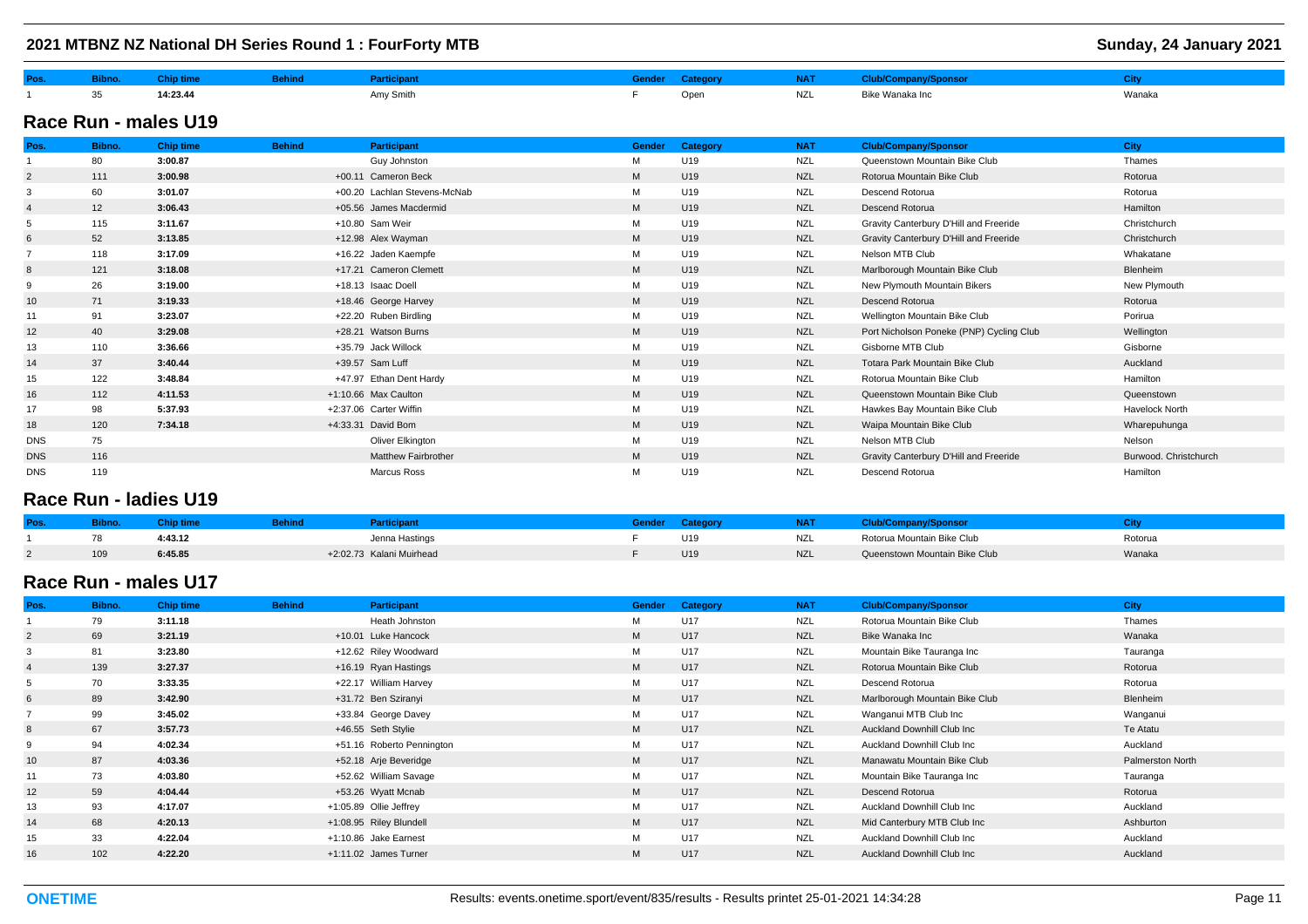|                |        |                      |               | 2021 MTBNZ NZ National DH Series Round 1 : FourForty MTB |        |          |            |                                          | Sunday, 24 January 2021 |
|----------------|--------|----------------------|---------------|----------------------------------------------------------|--------|----------|------------|------------------------------------------|-------------------------|
| Pos.           | Bibno. | <b>Chip time</b>     | <b>Behind</b> | <b>Participant</b>                                       | Gender | Category | <b>NAT</b> | <b>Club/Company/Sponsor</b>              | <b>City</b>             |
|                | 35     | 14:23.44             |               | Amy Smith                                                | F.     | Open     | <b>NZL</b> | Bike Wanaka Inc                          | Wanaka                  |
|                |        | Race Run - males U19 |               |                                                          |        |          |            |                                          |                         |
| Pos.           | Bibno. | <b>Chip time</b>     | <b>Behind</b> | <b>Participant</b>                                       | Gender | Category | <b>NAT</b> | <b>Club/Company/Sponsor</b>              | <b>City</b>             |
|                | 80     | 3:00.87              |               | Guy Johnston                                             | М      | U19      | <b>NZL</b> | Queenstown Mountain Bike Club            | Thames                  |
| $\overline{2}$ | 111    | 3:00.98              |               | +00.11 Cameron Beck                                      | M      | U19      | <b>NZL</b> | Rotorua Mountain Bike Club               | Rotorua                 |
| 3              | 60     | 3:01.07              |               | +00.20 Lachlan Stevens-McNab                             | M      | U19      | <b>NZL</b> | Descend Rotorua                          | Rotorua                 |
| $\overline{4}$ | 12     | 3:06.43              |               | +05.56 James Macdermid                                   | M      | U19      | <b>NZL</b> | Descend Rotorua                          | Hamilton                |
| 5              | 115    | 3:11.67              |               | +10.80 Sam Weir                                          | М      | U19      | <b>NZL</b> | Gravity Canterbury D'Hill and Freeride   | Christchurch            |
| 6              | 52     | 3:13.85              |               | +12.98 Alex Wayman                                       | M      | U19      | <b>NZL</b> | Gravity Canterbury D'Hill and Freeride   | Christchurch            |
|                | 118    | 3:17.09              |               | +16.22 Jaden Kaempfe                                     | М      | U19      | <b>NZL</b> | Nelson MTB Club                          | Whakatane               |
| 8              | 121    | 3:18.08              |               | +17.21 Cameron Clemett                                   | M      | U19      | <b>NZL</b> | Marlborough Mountain Bike Club           | Blenheim                |
| 9              | 26     | 3:19.00              |               | +18.13 Isaac Doell                                       | M      | U19      | <b>NZL</b> | New Plymouth Mountain Bikers             | New Plymouth            |
| 10             | 71     | 3:19.33              |               | +18.46 George Harvey                                     | M      | U19      | <b>NZL</b> | Descend Rotorua                          | Rotorua                 |
| 11             | 91     | 3:23.07              |               | +22.20 Ruben Birdling                                    | М      | U19      | <b>NZL</b> | Wellington Mountain Bike Club            | Porirua                 |
| 12             | 40     | 3:29.08              |               | +28.21 Watson Burns                                      | M      | U19      | <b>NZL</b> | Port Nicholson Poneke (PNP) Cycling Club | Wellington              |
| 13             | 110    | 3:36.66              |               | +35.79 Jack Willock                                      | M      | U19      | <b>NZL</b> | Gisborne MTB Club                        | Gisborne                |
| 14             | 37     | 3:40.44              |               | +39.57 Sam Luff                                          | M      | U19      | <b>NZL</b> | Totara Park Mountain Bike Club           | Auckland                |
| 15             | 122    | 3:48.84              |               | +47.97 Ethan Dent Hardy                                  | М      | U19      | <b>NZL</b> | Rotorua Mountain Bike Club               | Hamilton                |
| 16             | 112    | 4:11.53              |               | +1:10.66 Max Caulton                                     | M      | U19      | <b>NZL</b> | Queenstown Mountain Bike Club            | Queenstown              |
| 17             | 98     | 5:37.93              |               | +2:37.06 Carter Wiffin                                   | М      | U19      | <b>NZL</b> | Hawkes Bay Mountain Bike Club            | <b>Havelock North</b>   |
| 18             | 120    | 7:34.18              |               | +4:33.31 David Bom                                       | M      | U19      | <b>NZL</b> | Waipa Mountain Bike Club                 | Wharepuhunga            |
| <b>DNS</b>     | 75     |                      |               | Oliver Elkington                                         | М      | U19      | <b>NZL</b> | Nelson MTB Club                          | Nelson                  |
| <b>DNS</b>     | 116    |                      |               | <b>Matthew Fairbrother</b>                               | M      | U19      | <b>NZL</b> | Gravity Canterbury D'Hill and Freeride   | Burwood. Christchurch   |
| <b>DNS</b>     | 119    |                      |               | <b>Marcus Ross</b>                                       | м      | U19      | <b>NZL</b> | Descend Rotorua                          | Hamilton                |

### **Race Run - ladies U19**

|     | JNIO U  | <b><i><u>articipant</u></i></b> |                 | NAI        | o/Company/Sponsor             |         |
|-----|---------|---------------------------------|-----------------|------------|-------------------------------|---------|
| 78  | 4:43.12 | Jenna Hastings                  | U <sub>19</sub> | <b>NZL</b> | Rotorua Mountain Bike Club    | Rotorua |
| 109 | 6:45.85 | +2:02.73 Kalani Muirhead        | U <sub>19</sub> | <b>NZL</b> | Queenstown Mountain Bike Club | Wanaka  |

## **Race Run - males U17**

| Pos.           | Bibno. | <b>Chip time</b> | <b>Behind</b> | Participant               | <b>Gender</b> | Category | <b>NAT</b> | <b>Club/Company/Sponsor</b>        | <b>City</b>      |
|----------------|--------|------------------|---------------|---------------------------|---------------|----------|------------|------------------------------------|------------------|
|                | 79     | 3:11.18          |               | Heath Johnston            | M             | U17      | <b>NZL</b> | Rotorua Mountain Bike Club         | Thames           |
| $\overline{2}$ | 69     | 3:21.19          |               | +10.01 Luke Hancock       | M             | U17      | <b>NZL</b> | Bike Wanaka Inc                    | Wanaka           |
|                | 81     | 3:23.80          |               | +12.62 Riley Woodward     | М             | U17      | <b>NZL</b> | Mountain Bike Tauranga Inc         | Tauranga         |
|                | 139    | 3:27.37          |               | +16.19 Ryan Hastings      | M             | U17      | <b>NZL</b> | Rotorua Mountain Bike Club         | Rotorua          |
|                | 70     | 3:33.35          |               | +22.17 William Harvey     | M             | U17      | <b>NZL</b> | Descend Rotorua                    | Rotorua          |
|                | 89     | 3:42.90          |               | +31.72 Ben Sziranyi       | M             | U17      | <b>NZL</b> | Marlborough Mountain Bike Club     | Blenheim         |
|                | 99     | 3:45.02          |               | +33.84 George Davey       | М             | U17      | <b>NZL</b> | Wanganui MTB Club Inc              | Wanganui         |
|                | 67     | 3:57.73          |               | +46.55 Seth Stylie        | M             | U17      | <b>NZL</b> | <b>Auckland Downhill Club Inc.</b> | Te Atatu         |
|                | 94     | 4:02.34          |               | +51.16 Roberto Pennington | М             | U17      | <b>NZL</b> | Auckland Downhill Club Inc         | Auckland         |
| 10             | 87     | 4:03.36          |               | +52.18 Arje Beveridge     | M             | U17      | <b>NZL</b> | Manawatu Mountain Bike Club        | Palmerston North |
| 11             | 73     | 4:03.80          |               | +52.62 William Savage     | M             | U17      | <b>NZL</b> | Mountain Bike Tauranga Inc         | Tauranga         |
| 12             | 59     | 4:04.44          |               | +53.26 Wyatt Mcnab        | M             | U17      | <b>NZL</b> | Descend Rotorua                    | Rotorua          |
| 13             | 93     | 4:17.07          |               | +1:05.89 Ollie Jeffrey    | м             | U17      | <b>NZL</b> | Auckland Downhill Club Inc         | Auckland         |
| 14             | 68     | 4:20.13          |               | +1:08.95 Riley Blundell   | M             | U17      | <b>NZL</b> | Mid Canterbury MTB Club Inc        | Ashburton        |
| 15             | 33     | 4:22.04          |               | +1:10.86 Jake Earnest     | М             | U17      | <b>NZL</b> | Auckland Downhill Club Inc         | Auckland         |
| 16             | 102    | 4:22.20          |               | +1:11.02 James Turner     | M             | U17      | <b>NZL</b> | Auckland Downhill Club Inc         | Auckland         |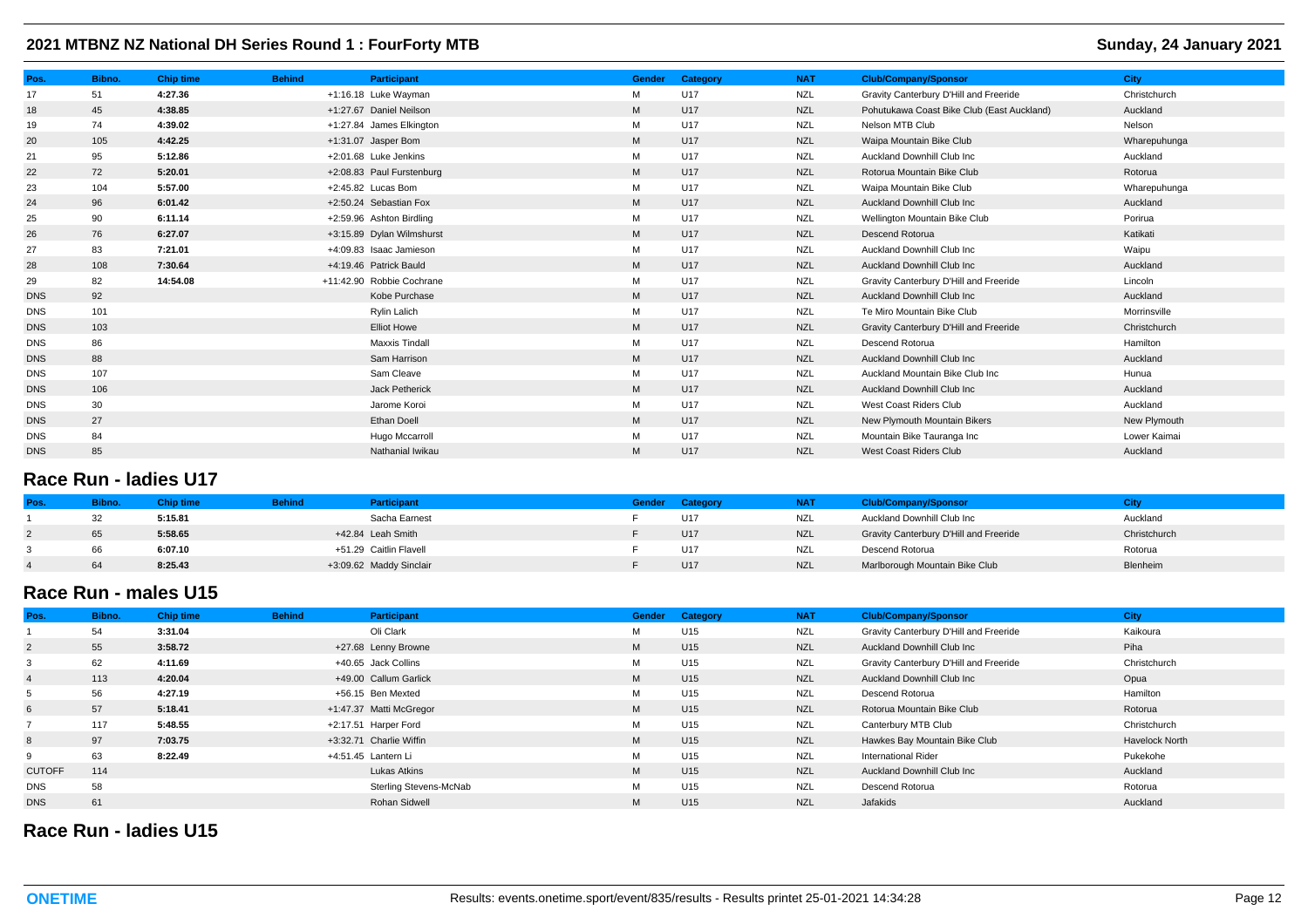| Pos.       | Bibno. | <b>Chip time</b> | <b>Behind</b> | <b>Participant</b>        | <b>Gender</b> | Category | <b>NAT</b> | <b>Club/Company/Sponsor</b>                | <b>City</b>  |
|------------|--------|------------------|---------------|---------------------------|---------------|----------|------------|--------------------------------------------|--------------|
| 17         | 51     | 4:27.36          |               | +1:16.18 Luke Wayman      | M             | U17      | <b>NZL</b> | Gravity Canterbury D'Hill and Freeride     | Christchurch |
| 18         | 45     | 4:38.85          |               | +1:27.67 Daniel Neilson   | M             | U17      | <b>NZL</b> | Pohutukawa Coast Bike Club (East Auckland) | Auckland     |
| 19         | 74     | 4:39.02          |               | +1:27.84 James Elkington  | М             | U17      | <b>NZL</b> | Nelson MTB Club                            | Nelson       |
| 20         | 105    | 4:42.25          |               | +1:31.07 Jasper Bom       | M             | U17      | <b>NZL</b> | Waipa Mountain Bike Club                   | Wharepuhunga |
| 21         | 95     | 5:12.86          |               | +2:01.68 Luke Jenkins     | M             | U17      | <b>NZL</b> | Auckland Downhill Club Inc                 | Auckland     |
| 22         | 72     | 5:20.01          |               | +2:08.83 Paul Furstenburg | M             | U17      | <b>NZL</b> | Rotorua Mountain Bike Club                 | Rotorua      |
| 23         | 104    | 5:57.00          |               | +2:45.82 Lucas Bom        | M             | U17      | <b>NZL</b> | Waipa Mountain Bike Club                   | Wharepuhunga |
| 24         | 96     | 6:01.42          |               | +2:50.24 Sebastian Fox    | M             | U17      | <b>NZL</b> | Auckland Downhill Club Inc                 | Auckland     |
| 25         | 90     | 6:11.14          |               | +2:59.96 Ashton Birdling  | М             | U17      | <b>NZL</b> | Wellington Mountain Bike Club              | Porirua      |
| 26         | 76     | 6:27.07          |               | +3:15.89 Dylan Wilmshurst | M             | U17      | <b>NZL</b> | Descend Rotorua                            | Katikati     |
| 27         | 83     | 7:21.01          |               | +4:09.83 Isaac Jamieson   | М             | U17      | <b>NZL</b> | Auckland Downhill Club Inc                 | Waipu        |
| 28         | 108    | 7:30.64          |               | +4:19.46 Patrick Bauld    | M             | U17      | <b>NZL</b> | <b>Auckland Downhill Club Inc.</b>         | Auckland     |
| 29         | 82     | 14:54.08         |               | +11:42.90 Robbie Cochrane | М             | U17      | <b>NZL</b> | Gravity Canterbury D'Hill and Freeride     | Lincoln      |
| <b>DNS</b> | 92     |                  |               | Kobe Purchase             | M             | U17      | <b>NZL</b> | <b>Auckland Downhill Club Inc.</b>         | Auckland     |
| <b>DNS</b> | 101    |                  |               | Rylin Lalich              | М             | U17      | <b>NZL</b> | Te Miro Mountain Bike Club                 | Morrinsville |
| <b>DNS</b> | 103    |                  |               | <b>Elliot Howe</b>        | M             | U17      | <b>NZL</b> | Gravity Canterbury D'Hill and Freeride     | Christchurch |
| <b>DNS</b> | 86     |                  |               | <b>Maxxis Tindall</b>     | М             | U17      | <b>NZL</b> | Descend Rotorua                            | Hamilton     |
| <b>DNS</b> | 88     |                  |               | Sam Harrison              | M             | U17      | <b>NZL</b> | <b>Auckland Downhill Club Inc.</b>         | Auckland     |
| <b>DNS</b> | 107    |                  |               | Sam Cleave                | М             | U17      | <b>NZL</b> | Auckland Mountain Bike Club Inc            | Hunua        |
| <b>DNS</b> | 106    |                  |               | Jack Petherick            | M             | U17      | <b>NZL</b> | <b>Auckland Downhill Club Inc.</b>         | Auckland     |
| <b>DNS</b> | 30     |                  |               | Jarome Koroi              | М             | U17      | <b>NZL</b> | West Coast Riders Club                     | Auckland     |
| <b>DNS</b> | 27     |                  |               | Ethan Doell               | M             | U17      | <b>NZL</b> | New Plymouth Mountain Bikers               | New Plymouth |
| <b>DNS</b> | 84     |                  |               | Hugo Mccarroll            | М             | U17      | <b>NZL</b> | Mountain Bike Tauranga Inc                 | Lower Kaimai |
| <b>DNS</b> | 85     |                  |               | Nathanial Iwikau          | M             | U17      | <b>NZL</b> | West Coast Riders Club                     | Auckland     |

# **Race Run - ladies U17**

| Pos | <b>Bibn</b> | Chip time l | <b>Behind</b> | <b>Participant</b>      | Gender | Category | <b>NAT</b> | <b>Club/Company/Sponsor</b>            |              |
|-----|-------------|-------------|---------------|-------------------------|--------|----------|------------|----------------------------------------|--------------|
|     | 32          | 5:15.81     |               | Sacha Earnest           |        | U17      | <b>NZL</b> | Auckland Downhill Club Inc             | Auckland     |
|     | 65          | 5:58.65     |               | +42.84 Leah Smith       |        | U17      | <b>NZL</b> | Gravity Canterbury D'Hill and Freeride | Christchurch |
|     | 66          | 6:07.10     |               | +51.29 Caitlin Flavell  |        | U17      | NZL        | Descend Rotorua                        | Rotorua      |
|     | 64          | 8:25.43     |               | +3:09.62 Maddy Sinclair |        | U17      | <b>NZL</b> | Marlborough Mountain Bike Club         | Blenheim     |

## **Race Run - males U15**

| Pos.           | Bibno. | <b>Chip time</b> | <b>Behind</b> | Participant             | <b>Gender</b> | Category        | <b>NAT</b> | <b>Club/Company/Sponsor</b>            | <b>City</b>           |
|----------------|--------|------------------|---------------|-------------------------|---------------|-----------------|------------|----------------------------------------|-----------------------|
|                | 54     | 3:31.04          |               | Oli Clark               | M             | U15             | <b>NZL</b> | Gravity Canterbury D'Hill and Freeride | Kaikoura              |
| $\overline{2}$ | 55     | 3:58.72          |               | +27.68 Lenny Browne     | M             | U15             | <b>NZL</b> | Auckland Downhill Club Inc             | Piha                  |
|                | 62     | 4:11.69          |               | +40.65 Jack Collins     | M             | U15             | <b>NZL</b> | Gravity Canterbury D'Hill and Freeride | Christchurch          |
|                | 113    | 4:20.04          |               | +49.00 Callum Garlick   | M             | U <sub>15</sub> | <b>NZL</b> | Auckland Downhill Club Inc             | Opua                  |
|                | 56     | 4:27.19          |               | +56.15 Ben Mexted       | М             | U15             | NZL        | Descend Rotorua                        | Hamilton              |
| 6              | 57     | 5:18.41          |               | +1:47.37 Matti McGregor | M             | U <sub>15</sub> | <b>NZL</b> | Rotorua Mountain Bike Club             | Rotorua               |
|                | 117    | 5:48.55          |               | +2:17.51 Harper Ford    | М             | U15             | <b>NZL</b> | Canterbury MTB Club                    | Christchurch          |
| 8              | 97     | 7:03.75          |               | +3:32.71 Charlie Wiffin | M             | U <sub>15</sub> | <b>NZL</b> | Hawkes Bay Mountain Bike Club          | <b>Havelock North</b> |
|                | 63     | 8:22.49          |               | +4:51.45 Lantern Li     | M             | U15             | <b>NZL</b> | <b>International Rider</b>             | Pukekohe              |
| <b>CUTOFF</b>  | 114    |                  |               | Lukas Atkins            | M             | U15             | <b>NZL</b> | Auckland Downhill Club Inc             | Auckland              |
| <b>DNS</b>     | 58     |                  |               | Sterling Stevens-McNab  | M             | U15             | <b>NZL</b> | Descend Rotorua                        | Rotorua               |
| <b>DNS</b>     | 61     |                  |               | <b>Rohan Sidwell</b>    | M             | U15             | <b>NZL</b> | Jafakids                               | Auckland              |

# **Race Run - ladies U15**